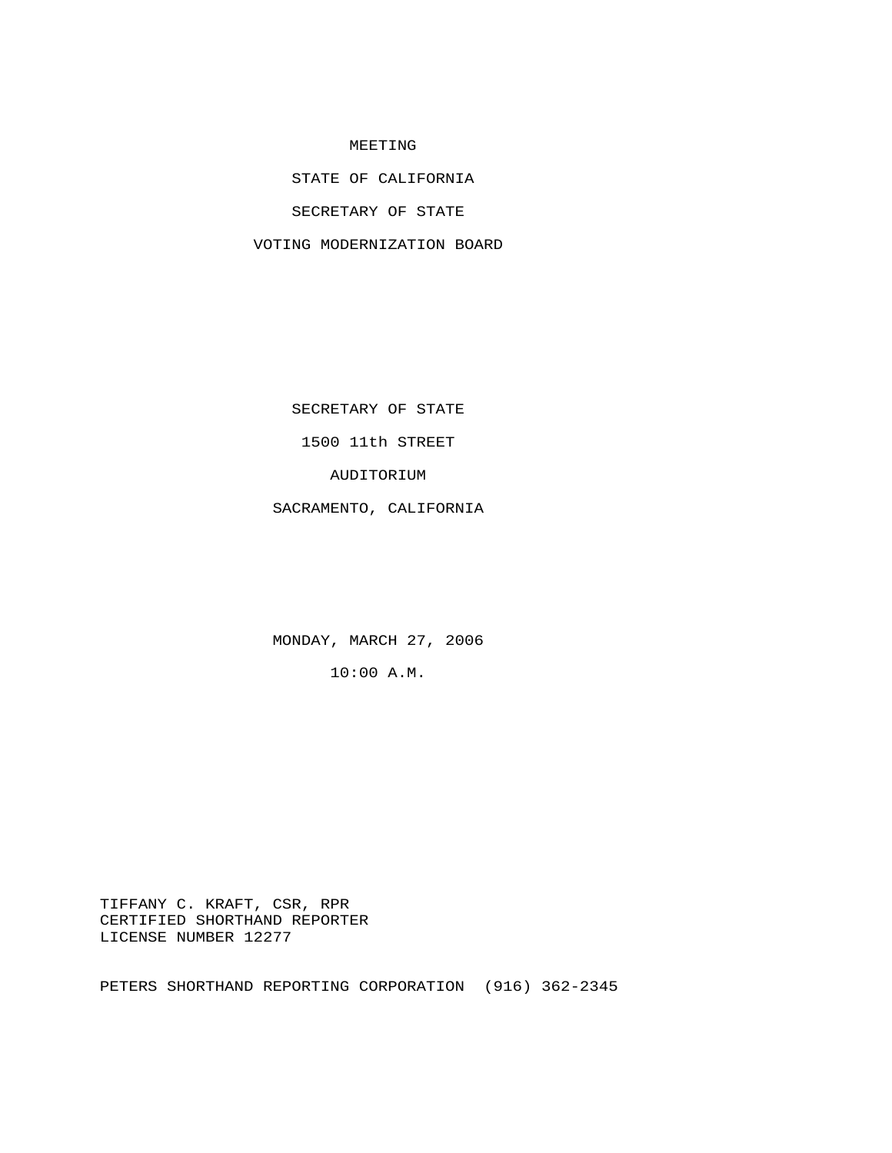#### MEETING

STATE OF CALIFORNIA

SECRETARY OF STATE

VOTING MODERNIZATION BOARD

SECRETARY OF STATE

1500 11th STREET

AUDITORIUM

SACRAMENTO, CALIFORNIA

MONDAY, MARCH 27, 2006

10:00 A.M.

 TIFFANY C. KRAFT, CSR, RPR CERTIFIED SHORTHAND REPORTER LICENSE NUMBER 12277

PETERS SHORTHAND REPORTING CORPORATION (916) 362-2345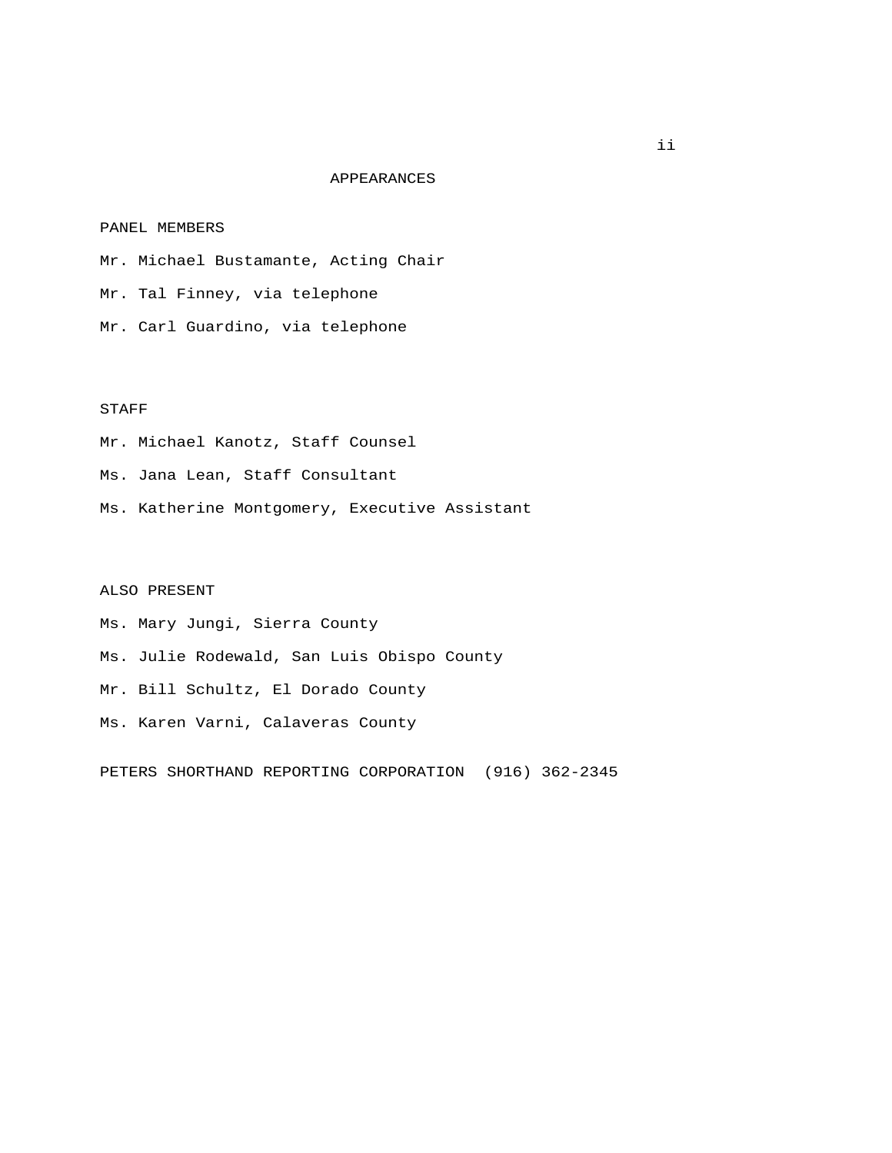### APPEARANCES

## PANEL MEMBERS

 Mr. Michael Bustamante, Acting Chair Mr. Tal Finney, via telephone Mr. Carl Guardino, via telephone

# STAFF

 Mr. Michael Kanotz, Staff Counsel Ms. Jana Lean, Staff Consultant Ms. Katherine Montgomery, Executive Assistant

#### ALSO PRESENT

 Ms. Mary Jungi, Sierra County Ms. Julie Rodewald, San Luis Obispo County Mr. Bill Schultz, El Dorado County Ms. Karen Varni, Calaveras County PETERS SHORTHAND REPORTING CORPORATION (916) 362-2345

ii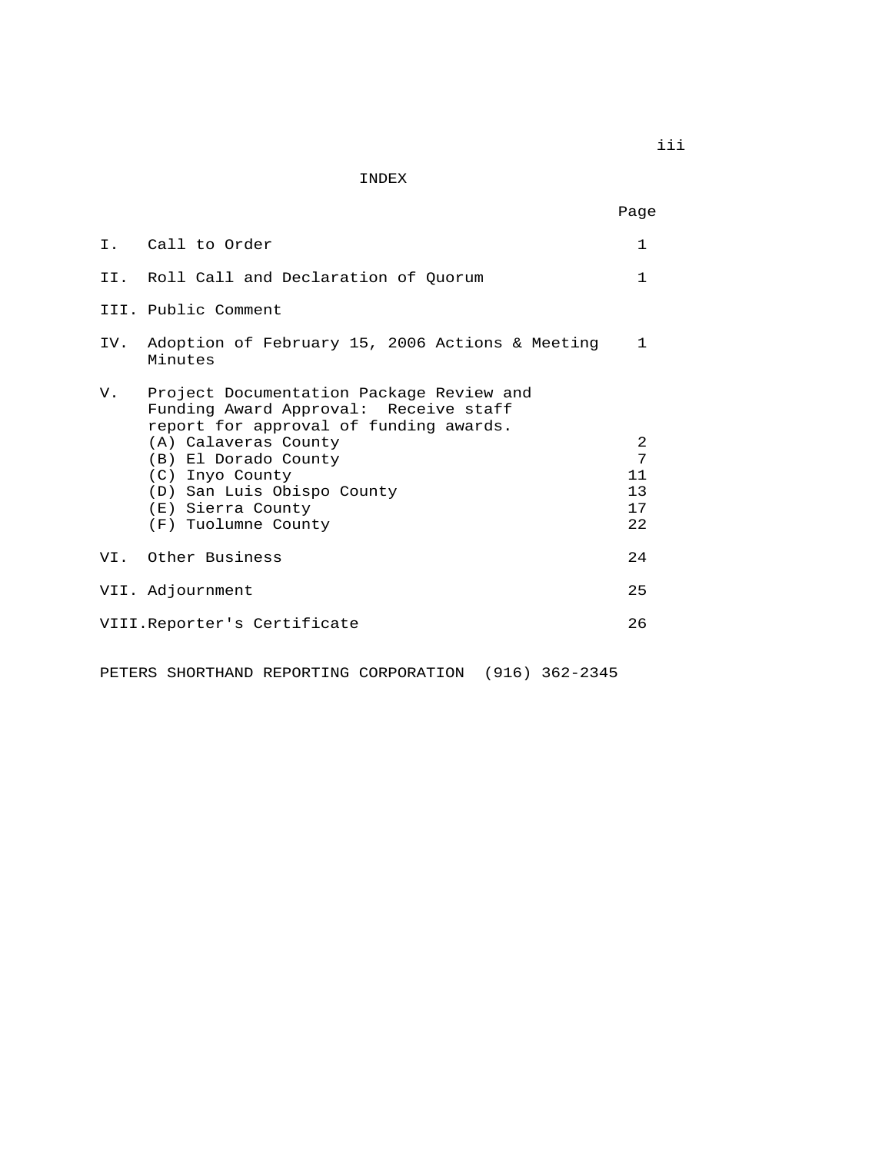INDEX

|    | I. Call to Order                                                                                                                                                                                                                                                         | $\mathbf{1}$                   |
|----|--------------------------------------------------------------------------------------------------------------------------------------------------------------------------------------------------------------------------------------------------------------------------|--------------------------------|
|    | II. Roll Call and Declaration of Quorum                                                                                                                                                                                                                                  | $\mathbf{1}$                   |
|    | III. Public Comment                                                                                                                                                                                                                                                      |                                |
|    | IV. Adoption of February 15, 2006 Actions & Meeting<br>Minutes                                                                                                                                                                                                           | $\mathbf{1}$                   |
| V. | Project Documentation Package Review and<br>Funding Award Approval: Receive staff<br>report for approval of funding awards.<br>(A) Calaveras County<br>(B) El Dorado County<br>(C) Inyo County<br>(D) San Luis Obispo County<br>(E) Sierra County<br>(F) Tuolumne County | 2<br>7<br>11<br>13<br>17<br>22 |
|    | VI. Other Business                                                                                                                                                                                                                                                       | 2.4                            |
|    | VII. Adjournment                                                                                                                                                                                                                                                         | 25                             |
|    | VIII.Reporter's Certificate                                                                                                                                                                                                                                              | 26                             |

PETERS SHORTHAND REPORTING CORPORATION (916) 362-2345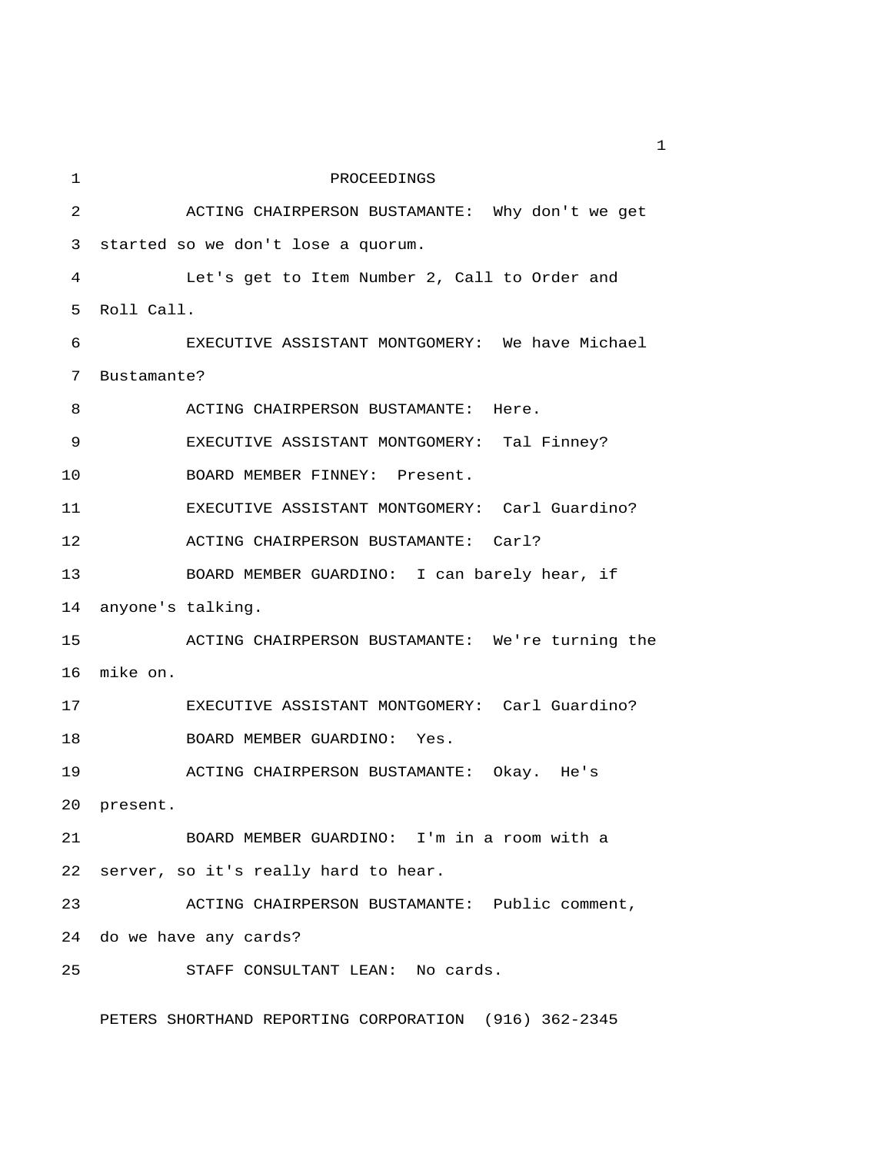| 1  | PROCEEDINGS                                      |  |  |
|----|--------------------------------------------------|--|--|
| 2  | ACTING CHAIRPERSON BUSTAMANTE: Why don't we get  |  |  |
| 3  | started so we don't lose a quorum.               |  |  |
| 4  | Let's get to Item Number 2, Call to Order and    |  |  |
| 5  | Roll Call.                                       |  |  |
| 6  | EXECUTIVE ASSISTANT MONTGOMERY: We have Michael  |  |  |
| 7  | Bustamante?                                      |  |  |
| 8  | ACTING CHAIRPERSON BUSTAMANTE: Here.             |  |  |
| 9  | EXECUTIVE ASSISTANT MONTGOMERY: Tal Finney?      |  |  |
| 10 | BOARD MEMBER FINNEY: Present.                    |  |  |
| 11 | EXECUTIVE ASSISTANT MONTGOMERY: Carl Guardino?   |  |  |
| 12 | ACTING CHAIRPERSON BUSTAMANTE: Carl?             |  |  |
| 13 | BOARD MEMBER GUARDINO: I can barely hear, if     |  |  |
| 14 | anyone's talking.                                |  |  |
| 15 | ACTING CHAIRPERSON BUSTAMANTE: We're turning the |  |  |
| 16 | mike on.                                         |  |  |
| 17 | EXECUTIVE ASSISTANT MONTGOMERY: Carl Guardino?   |  |  |
| 18 | BOARD MEMBER GUARDINO: Yes.                      |  |  |
| 19 | ACTING CHAIRPERSON BUSTAMANTE: Okay. He's        |  |  |
| 20 | present.                                         |  |  |
| 21 | BOARD MEMBER GUARDINO: I'm in a room with a      |  |  |
| 22 | server, so it's really hard to hear.             |  |  |
| 23 | ACTING CHAIRPERSON BUSTAMANTE: Public comment,   |  |  |
| 24 | do we have any cards?                            |  |  |
| 25 | STAFF CONSULTANT LEAN: No cards.                 |  |  |

PETERS SHORTHAND REPORTING CORPORATION (916) 362-2345

 $\mathbf{1}$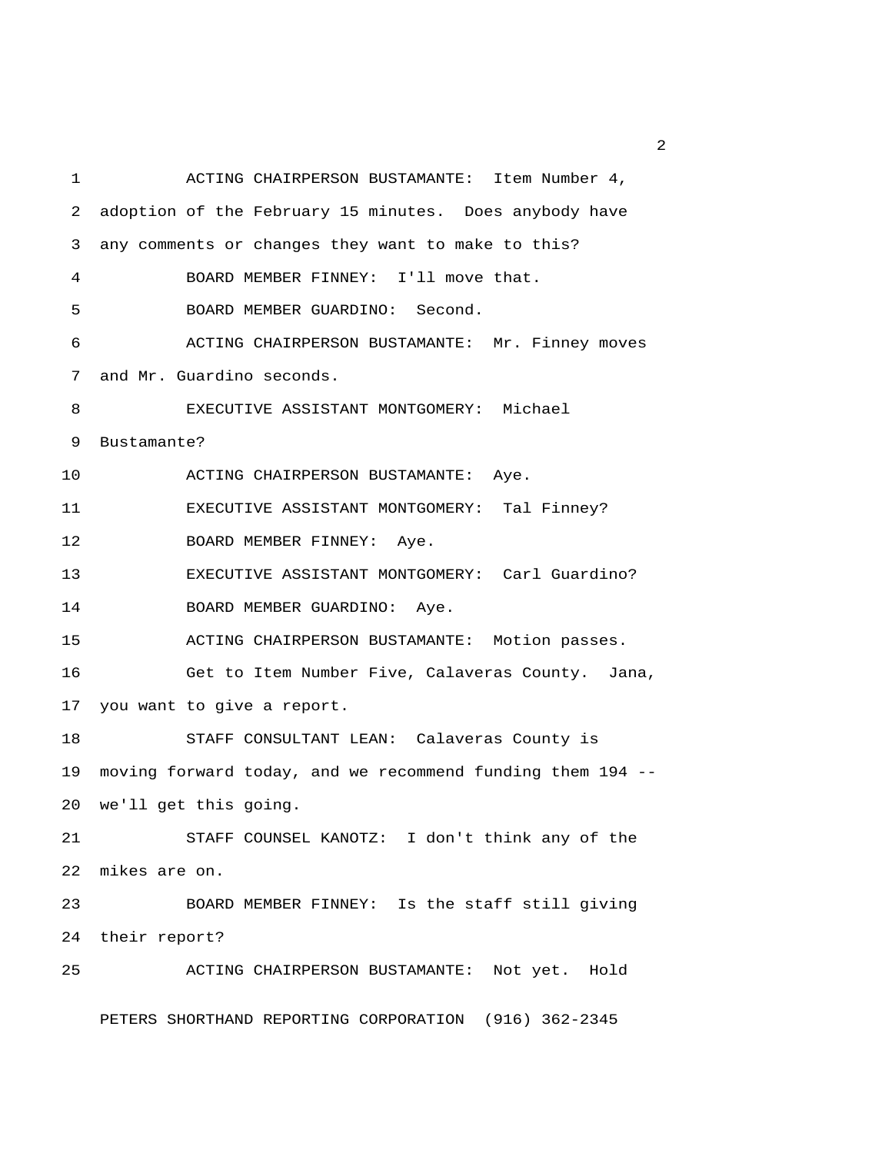1 ACTING CHAIRPERSON BUSTAMANTE: Item Number 4, 2 adoption of the February 15 minutes. Does anybody have 3 any comments or changes they want to make to this? 4 BOARD MEMBER FINNEY: I'll move that. 5 BOARD MEMBER GUARDINO: Second. 6 ACTING CHAIRPERSON BUSTAMANTE: Mr. Finney moves 7 and Mr. Guardino seconds. 8 EXECUTIVE ASSISTANT MONTGOMERY: Michael 9 Bustamante? 10 ACTING CHAIRPERSON BUSTAMANTE: Aye. 11 EXECUTIVE ASSISTANT MONTGOMERY: Tal Finney? 12 BOARD MEMBER FINNEY: Aye. 13 EXECUTIVE ASSISTANT MONTGOMERY: Carl Guardino? 14 BOARD MEMBER GUARDINO: Aye. 15 ACTING CHAIRPERSON BUSTAMANTE: Motion passes. 16 Get to Item Number Five, Calaveras County. Jana, 17 you want to give a report. 18 STAFF CONSULTANT LEAN: Calaveras County is 19 moving forward today, and we recommend funding them 194 -- 20 we'll get this going. 21 STAFF COUNSEL KANOTZ: I don't think any of the 22 mikes are on. 23 BOARD MEMBER FINNEY: Is the staff still giving 24 their report? 25 ACTING CHAIRPERSON BUSTAMANTE: Not yet. Hold

PETERS SHORTHAND REPORTING CORPORATION (916) 362-2345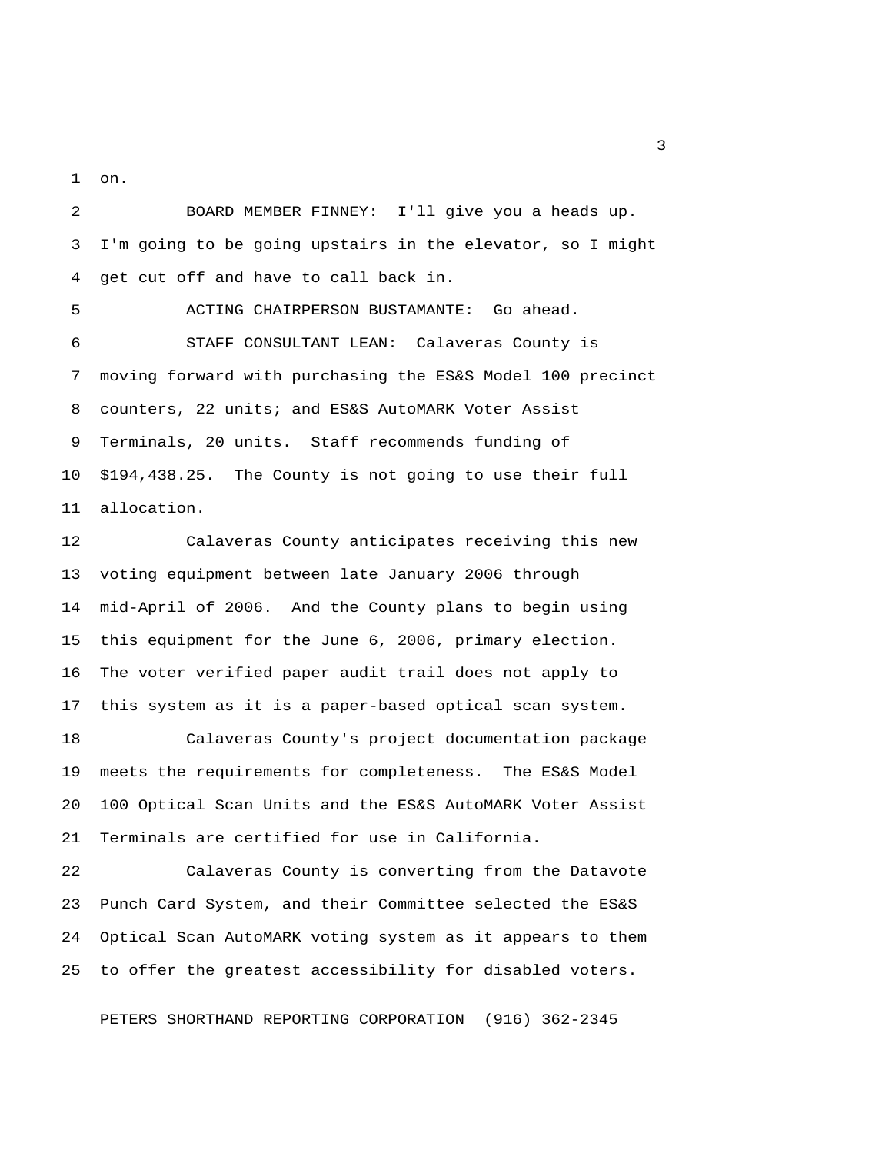1 on.

 2 BOARD MEMBER FINNEY: I'll give you a heads up. 3 I'm going to be going upstairs in the elevator, so I might 4 get cut off and have to call back in.

 5 ACTING CHAIRPERSON BUSTAMANTE: Go ahead. 6 STAFF CONSULTANT LEAN: Calaveras County is 7 moving forward with purchasing the ES&S Model 100 precinct 8 counters, 22 units; and ES&S AutoMARK Voter Assist 9 Terminals, 20 units. Staff recommends funding of 10 \$194,438.25. The County is not going to use their full 11 allocation.

12 Calaveras County anticipates receiving this new 13 voting equipment between late January 2006 through 14 mid-April of 2006. And the County plans to begin using 15 this equipment for the June 6, 2006, primary election. 16 The voter verified paper audit trail does not apply to 17 this system as it is a paper-based optical scan system.

18 Calaveras County's project documentation package 19 meets the requirements for completeness. The ES&S Model 20 100 Optical Scan Units and the ES&S AutoMARK Voter Assist 21 Terminals are certified for use in California.

22 Calaveras County is converting from the Datavote 23 Punch Card System, and their Committee selected the ES&S 24 Optical Scan AutoMARK voting system as it appears to them 25 to offer the greatest accessibility for disabled voters.

PETERS SHORTHAND REPORTING CORPORATION (916) 362-2345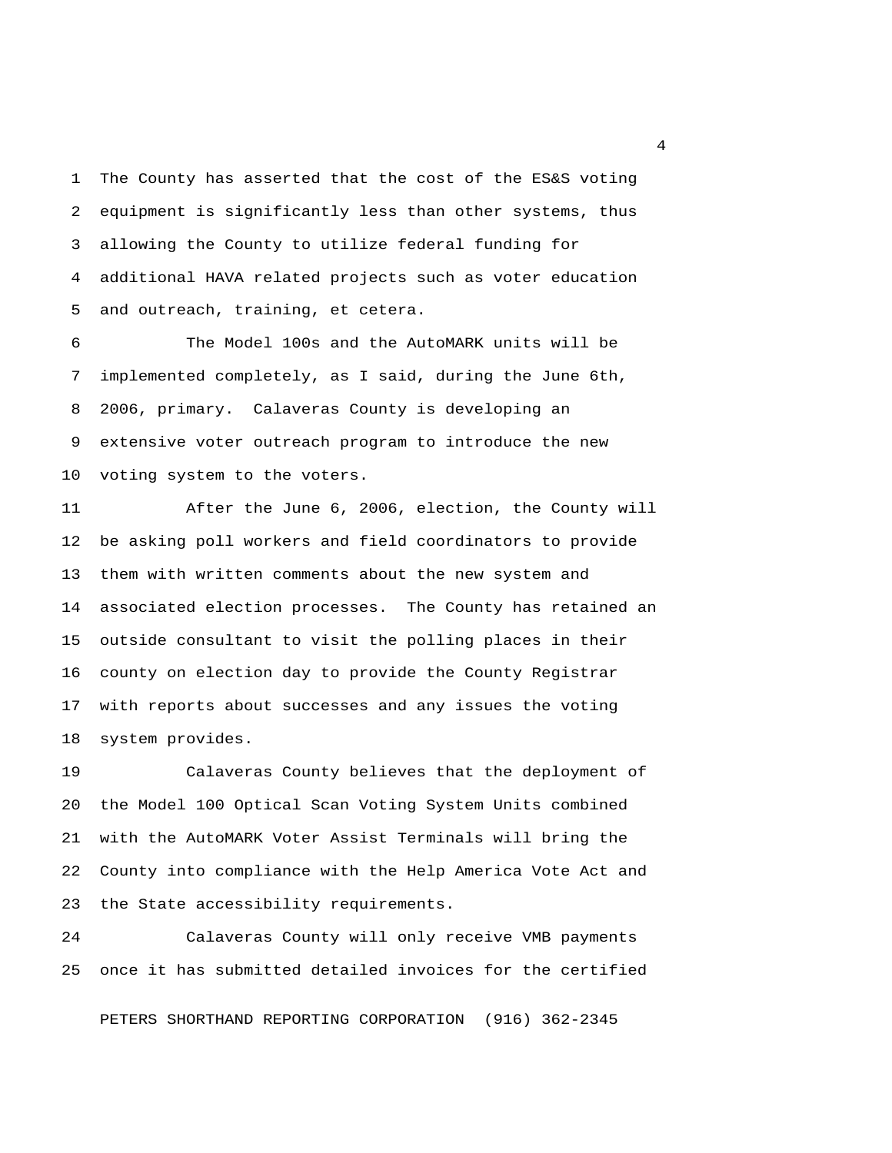1 The County has asserted that the cost of the ES&S voting 2 equipment is significantly less than other systems, thus 3 allowing the County to utilize federal funding for 4 additional HAVA related projects such as voter education 5 and outreach, training, et cetera.

 6 The Model 100s and the AutoMARK units will be 7 implemented completely, as I said, during the June 6th, 8 2006, primary. Calaveras County is developing an 9 extensive voter outreach program to introduce the new 10 voting system to the voters.

11 After the June 6, 2006, election, the County will 12 be asking poll workers and field coordinators to provide 13 them with written comments about the new system and 14 associated election processes. The County has retained an 15 outside consultant to visit the polling places in their 16 county on election day to provide the County Registrar 17 with reports about successes and any issues the voting 18 system provides.

19 Calaveras County believes that the deployment of 20 the Model 100 Optical Scan Voting System Units combined 21 with the AutoMARK Voter Assist Terminals will bring the 22 County into compliance with the Help America Vote Act and 23 the State accessibility requirements.

24 Calaveras County will only receive VMB payments 25 once it has submitted detailed invoices for the certified

PETERS SHORTHAND REPORTING CORPORATION (916) 362-2345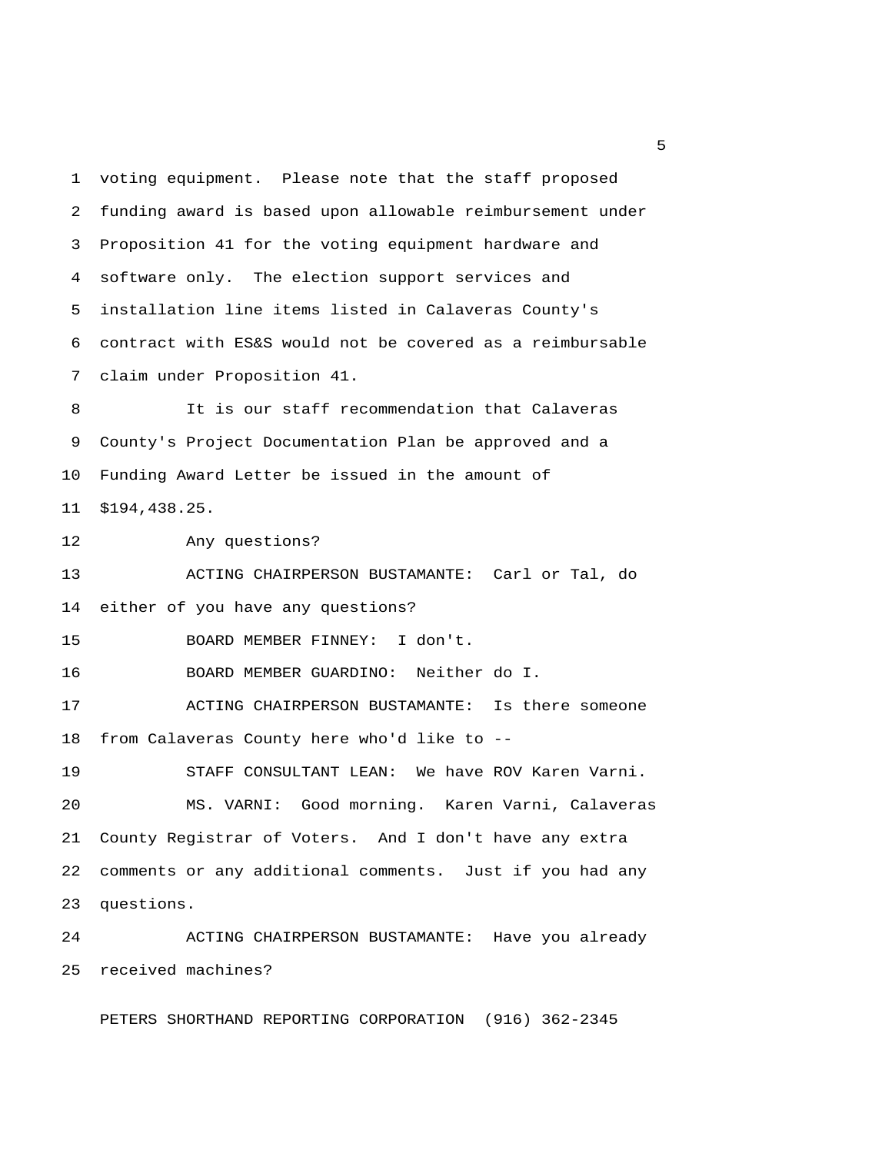1 voting equipment. Please note that the staff proposed 2 funding award is based upon allowable reimbursement under 3 Proposition 41 for the voting equipment hardware and 4 software only. The election support services and 5 installation line items listed in Calaveras County's 6 contract with ES&S would not be covered as a reimbursable 7 claim under Proposition 41. 8 It is our staff recommendation that Calaveras 9 County's Project Documentation Plan be approved and a 10 Funding Award Letter be issued in the amount of 11 \$194,438.25. 12 Any questions? 13 ACTING CHAIRPERSON BUSTAMANTE: Carl or Tal, do 14 either of you have any questions? 15 BOARD MEMBER FINNEY: I don't. 16 BOARD MEMBER GUARDINO: Neither do I. 17 ACTING CHAIRPERSON BUSTAMANTE: Is there someone 18 from Calaveras County here who'd like to -- 19 STAFF CONSULTANT LEAN: We have ROV Karen Varni. 20 MS. VARNI: Good morning. Karen Varni, Calaveras 21 County Registrar of Voters. And I don't have any extra 22 comments or any additional comments. Just if you had any 23 questions. 24 ACTING CHAIRPERSON BUSTAMANTE: Have you already 25 received machines?

PETERS SHORTHAND REPORTING CORPORATION (916) 362-2345

 $\sim$  5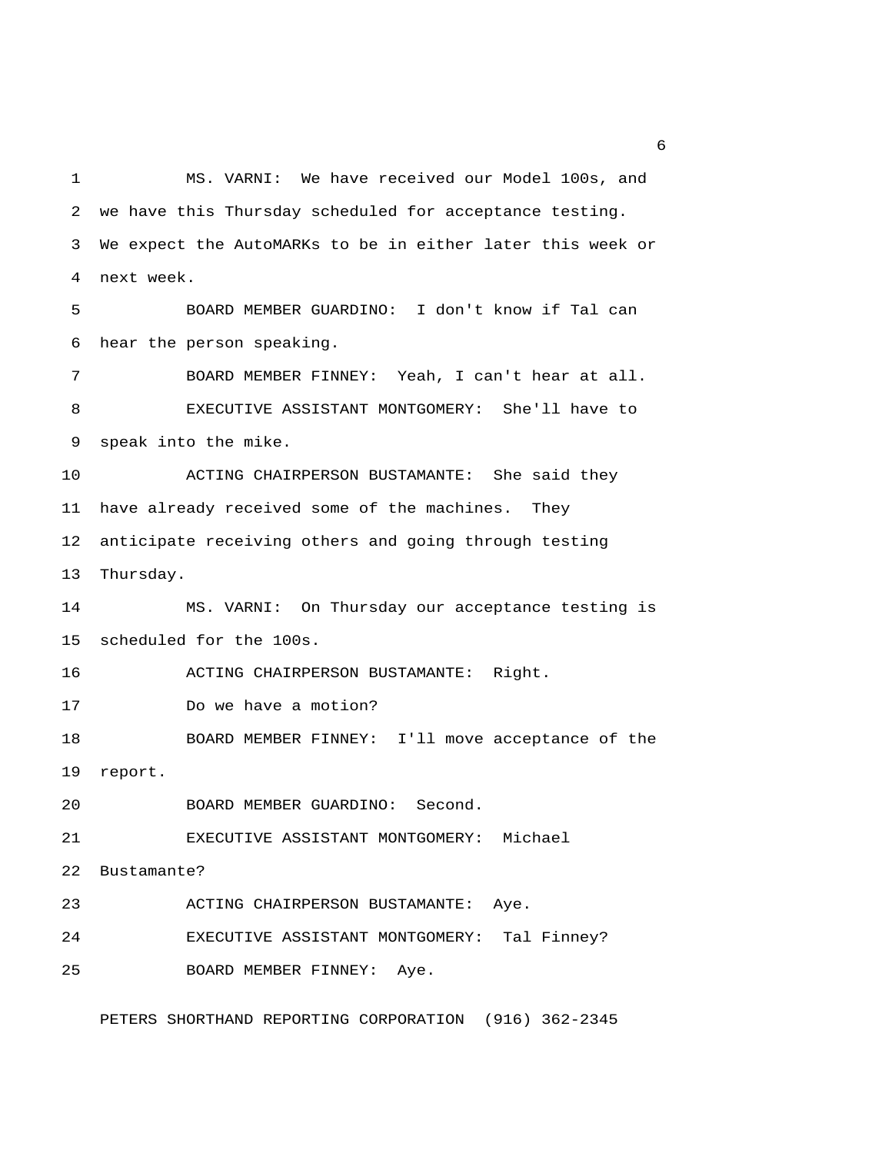1 MS. VARNI: We have received our Model 100s, and 2 we have this Thursday scheduled for acceptance testing. 3 We expect the AutoMARKs to be in either later this week or 4 next week. 5 BOARD MEMBER GUARDINO: I don't know if Tal can 6 hear the person speaking. 7 BOARD MEMBER FINNEY: Yeah, I can't hear at all. 8 EXECUTIVE ASSISTANT MONTGOMERY: She'll have to 9 speak into the mike. 10 ACTING CHAIRPERSON BUSTAMANTE: She said they 11 have already received some of the machines. They 12 anticipate receiving others and going through testing 13 Thursday. 14 MS. VARNI: On Thursday our acceptance testing is 15 scheduled for the 100s. 16 ACTING CHAIRPERSON BUSTAMANTE: Right. 17 Do we have a motion? 18 BOARD MEMBER FINNEY: I'll move acceptance of the 19 report. 20 BOARD MEMBER GUARDINO: Second. 21 EXECUTIVE ASSISTANT MONTGOMERY: Michael 22 Bustamante? 23 ACTING CHAIRPERSON BUSTAMANTE: Aye. 24 EXECUTIVE ASSISTANT MONTGOMERY: Tal Finney? 25 BOARD MEMBER FINNEY: Aye.

PETERS SHORTHAND REPORTING CORPORATION (916) 362-2345

 $6<sup>6</sup>$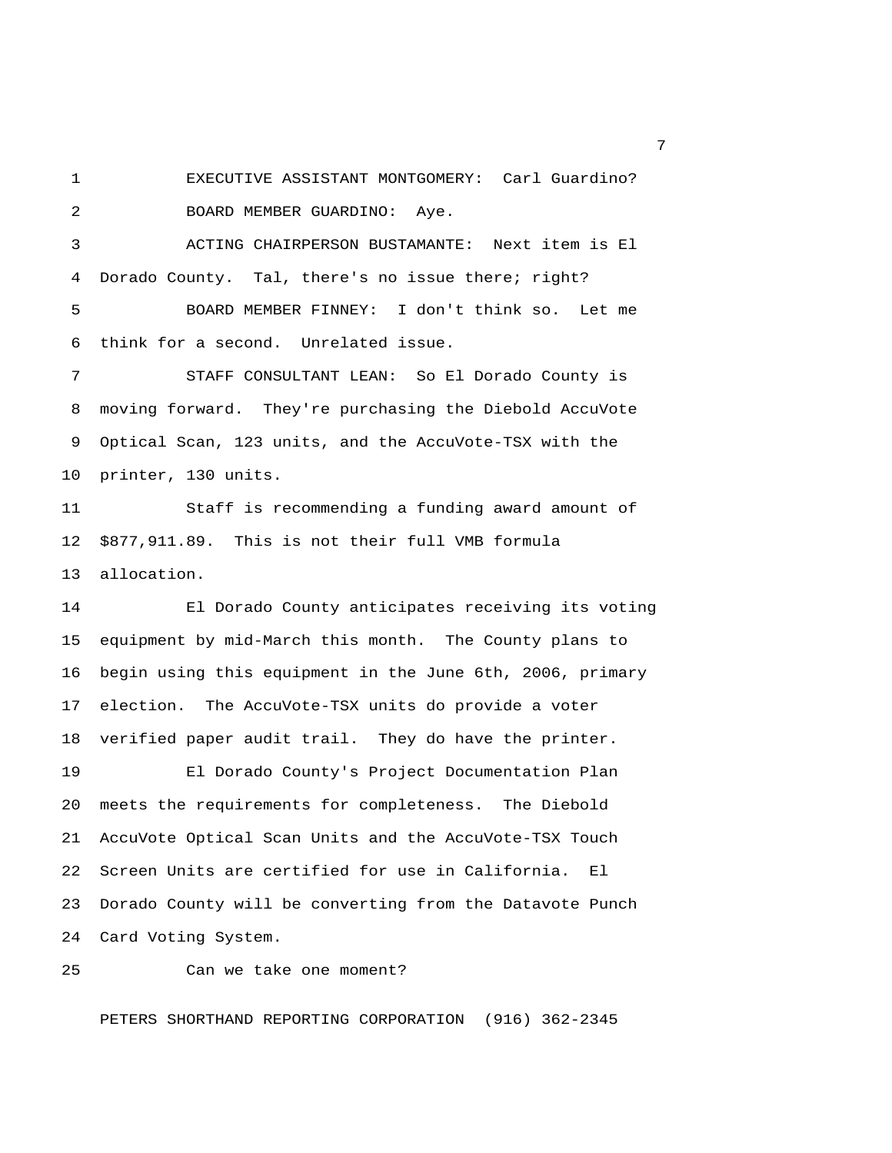1 EXECUTIVE ASSISTANT MONTGOMERY: Carl Guardino? 2 BOARD MEMBER GUARDINO: Aye.

 3 ACTING CHAIRPERSON BUSTAMANTE: Next item is El 4 Dorado County. Tal, there's no issue there; right? 5 BOARD MEMBER FINNEY: I don't think so. Let me 6 think for a second. Unrelated issue.

 7 STAFF CONSULTANT LEAN: So El Dorado County is 8 moving forward. They're purchasing the Diebold AccuVote 9 Optical Scan, 123 units, and the AccuVote-TSX with the 10 printer, 130 units.

11 Staff is recommending a funding award amount of 12 \$877,911.89. This is not their full VMB formula 13 allocation.

14 El Dorado County anticipates receiving its voting 15 equipment by mid-March this month. The County plans to 16 begin using this equipment in the June 6th, 2006, primary 17 election. The AccuVote-TSX units do provide a voter 18 verified paper audit trail. They do have the printer.

19 El Dorado County's Project Documentation Plan 20 meets the requirements for completeness. The Diebold 21 AccuVote Optical Scan Units and the AccuVote-TSX Touch 22 Screen Units are certified for use in California. El 23 Dorado County will be converting from the Datavote Punch 24 Card Voting System.

25 Can we take one moment?

PETERS SHORTHAND REPORTING CORPORATION (916) 362-2345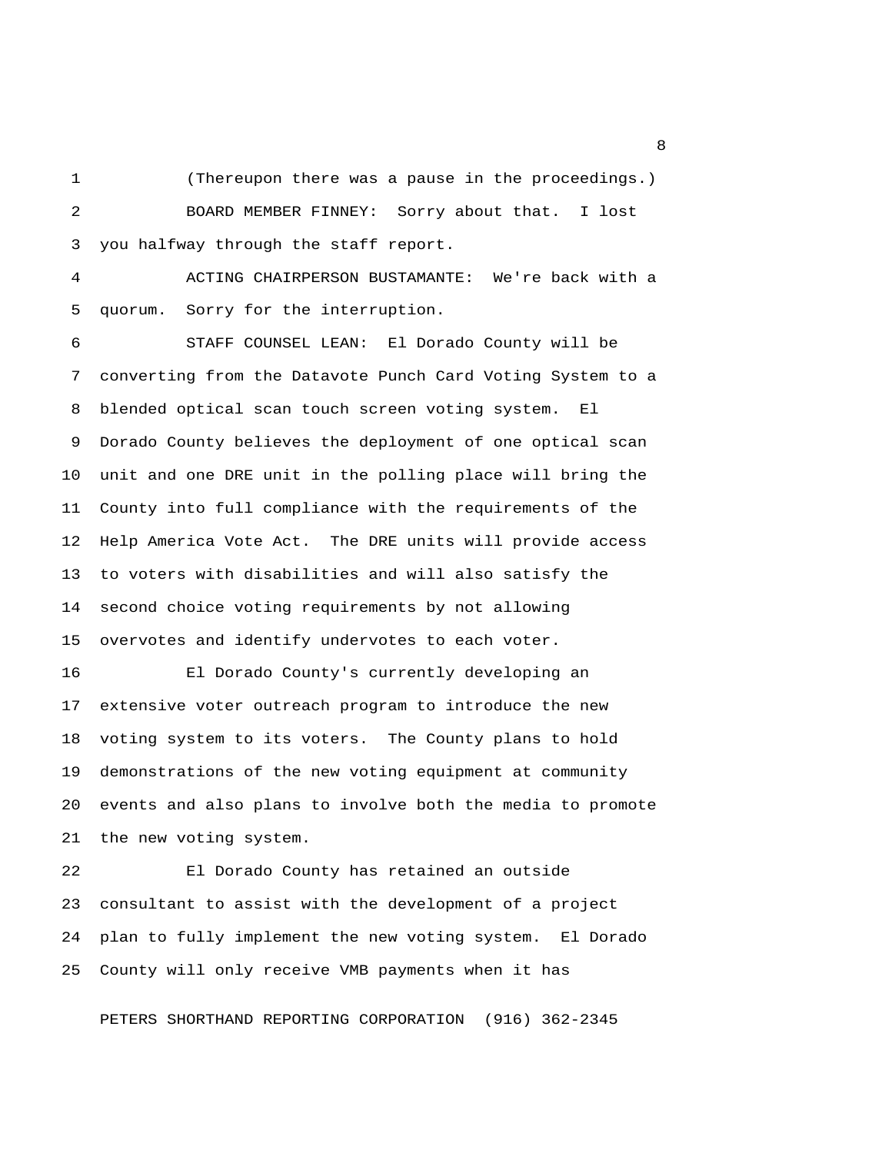1 (Thereupon there was a pause in the proceedings.) 2 BOARD MEMBER FINNEY: Sorry about that. I lost 3 you halfway through the staff report.

 4 ACTING CHAIRPERSON BUSTAMANTE: We're back with a 5 quorum. Sorry for the interruption.

 6 STAFF COUNSEL LEAN: El Dorado County will be 7 converting from the Datavote Punch Card Voting System to a 8 blended optical scan touch screen voting system. El 9 Dorado County believes the deployment of one optical scan 10 unit and one DRE unit in the polling place will bring the 11 County into full compliance with the requirements of the 12 Help America Vote Act. The DRE units will provide access 13 to voters with disabilities and will also satisfy the 14 second choice voting requirements by not allowing 15 overvotes and identify undervotes to each voter.

16 El Dorado County's currently developing an 17 extensive voter outreach program to introduce the new 18 voting system to its voters. The County plans to hold 19 demonstrations of the new voting equipment at community 20 events and also plans to involve both the media to promote 21 the new voting system.

22 El Dorado County has retained an outside 23 consultant to assist with the development of a project 24 plan to fully implement the new voting system. El Dorado 25 County will only receive VMB payments when it has

PETERS SHORTHAND REPORTING CORPORATION (916) 362-2345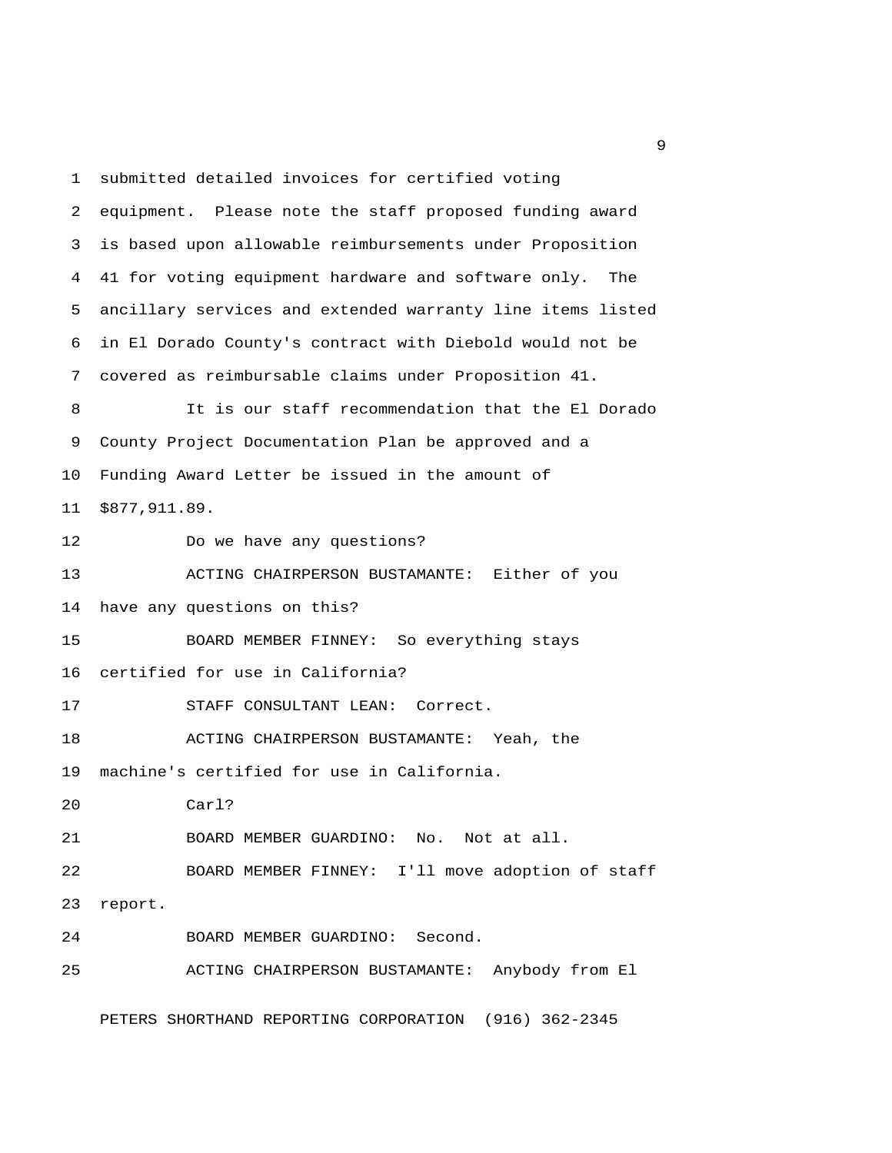1 submitted detailed invoices for certified voting 2 equipment. Please note the staff proposed funding award 3 is based upon allowable reimbursements under Proposition 4 41 for voting equipment hardware and software only. The 5 ancillary services and extended warranty line items listed 6 in El Dorado County's contract with Diebold would not be 7 covered as reimbursable claims under Proposition 41. 8 It is our staff recommendation that the El Dorado 9 County Project Documentation Plan be approved and a 10 Funding Award Letter be issued in the amount of 11 \$877,911.89. 12 Do we have any questions? 13 ACTING CHAIRPERSON BUSTAMANTE: Either of you 14 have any questions on this? 15 BOARD MEMBER FINNEY: So everything stays 16 certified for use in California? 17 STAFF CONSULTANT LEAN: Correct. 18 ACTING CHAIRPERSON BUSTAMANTE: Yeah, the 19 machine's certified for use in California. 20 Carl? 21 BOARD MEMBER GUARDINO: No. Not at all. 22 BOARD MEMBER FINNEY: I'll move adoption of staff 23 report. 24 BOARD MEMBER GUARDINO: Second. 25 ACTING CHAIRPERSON BUSTAMANTE: Anybody from El

PETERS SHORTHAND REPORTING CORPORATION (916) 362-2345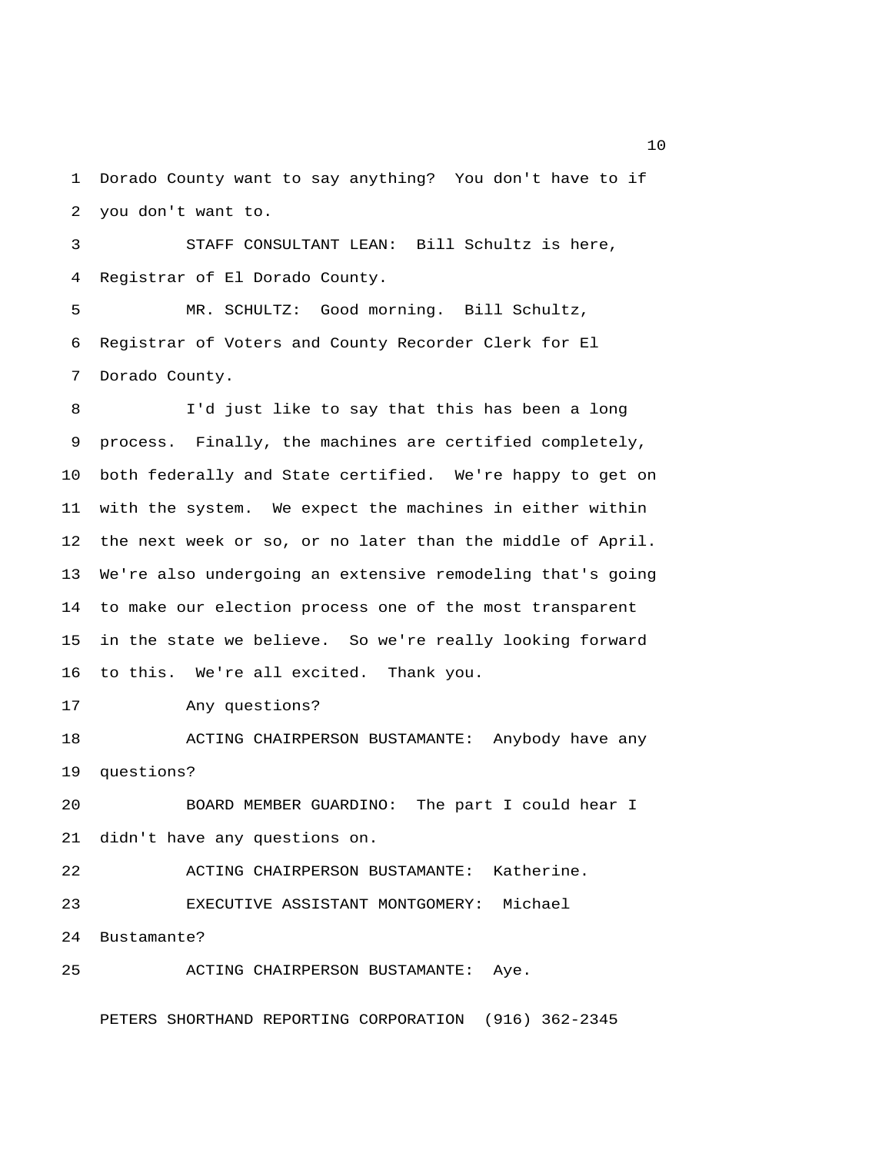1 Dorado County want to say anything? You don't have to if 2 you don't want to.

 3 STAFF CONSULTANT LEAN: Bill Schultz is here, 4 Registrar of El Dorado County.

 5 MR. SCHULTZ: Good morning. Bill Schultz, 6 Registrar of Voters and County Recorder Clerk for El 7 Dorado County.

 8 I'd just like to say that this has been a long 9 process. Finally, the machines are certified completely, 10 both federally and State certified. We're happy to get on 11 with the system. We expect the machines in either within 12 the next week or so, or no later than the middle of April. 13 We're also undergoing an extensive remodeling that's going 14 to make our election process one of the most transparent 15 in the state we believe. So we're really looking forward 16 to this. We're all excited. Thank you.

17 Any questions?

18 ACTING CHAIRPERSON BUSTAMANTE: Anybody have any 19 questions?

20 BOARD MEMBER GUARDINO: The part I could hear I 21 didn't have any questions on.

22 ACTING CHAIRPERSON BUSTAMANTE: Katherine.

23 EXECUTIVE ASSISTANT MONTGOMERY: Michael

24 Bustamante?

25 ACTING CHAIRPERSON BUSTAMANTE: Aye.

PETERS SHORTHAND REPORTING CORPORATION (916) 362-2345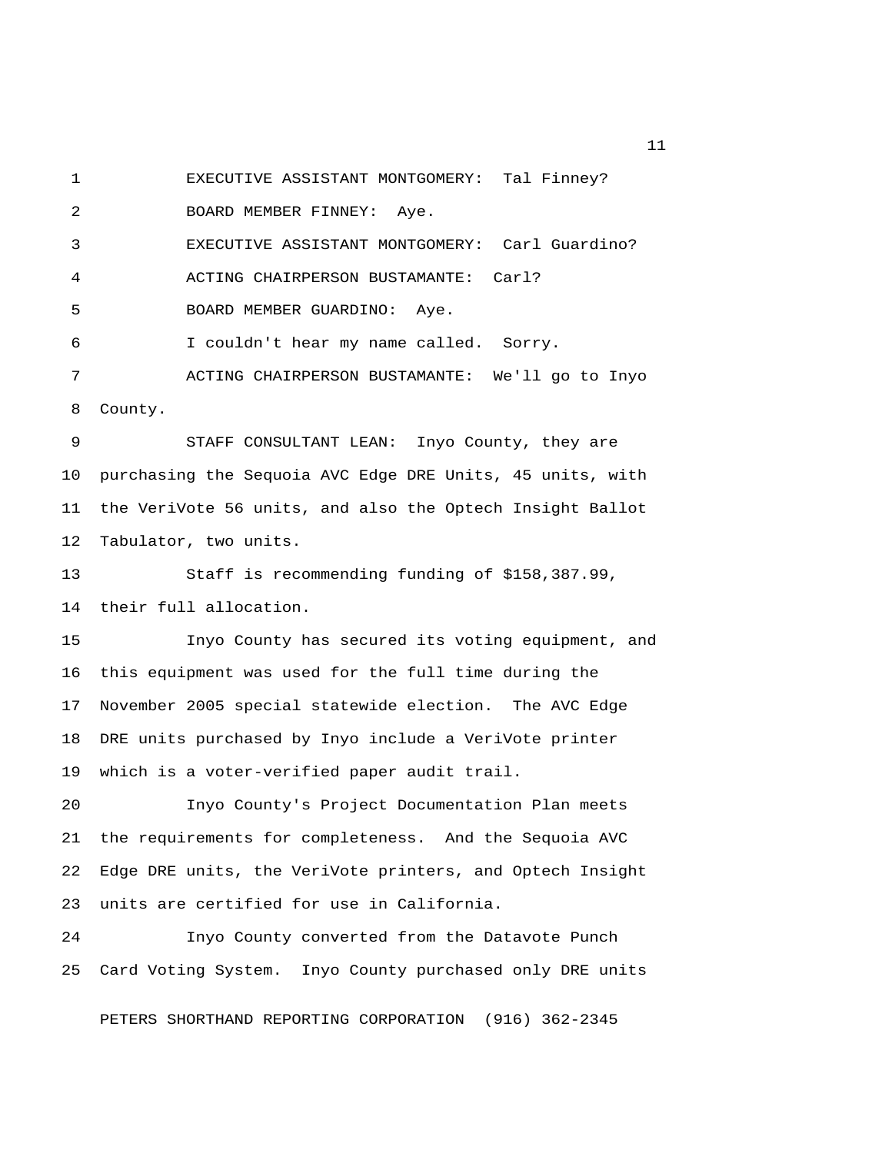1 EXECUTIVE ASSISTANT MONTGOMERY: Tal Finney?

2 BOARD MEMBER FINNEY: Aye.

3 EXECUTIVE ASSISTANT MONTGOMERY: Carl Guardino?

4 ACTING CHAIRPERSON BUSTAMANTE: Carl?

5 BOARD MEMBER GUARDINO: Aye.

6 I couldn't hear my name called. Sorry.

 7 ACTING CHAIRPERSON BUSTAMANTE: We'll go to Inyo 8 County.

 9 STAFF CONSULTANT LEAN: Inyo County, they are 10 purchasing the Sequoia AVC Edge DRE Units, 45 units, with 11 the VeriVote 56 units, and also the Optech Insight Ballot 12 Tabulator, two units.

13 Staff is recommending funding of \$158,387.99, 14 their full allocation.

15 Inyo County has secured its voting equipment, and 16 this equipment was used for the full time during the 17 November 2005 special statewide election. The AVC Edge 18 DRE units purchased by Inyo include a VeriVote printer 19 which is a voter-verified paper audit trail.

20 Inyo County's Project Documentation Plan meets 21 the requirements for completeness. And the Sequoia AVC 22 Edge DRE units, the VeriVote printers, and Optech Insight 23 units are certified for use in California.

24 Inyo County converted from the Datavote Punch 25 Card Voting System. Inyo County purchased only DRE units

PETERS SHORTHAND REPORTING CORPORATION (916) 362-2345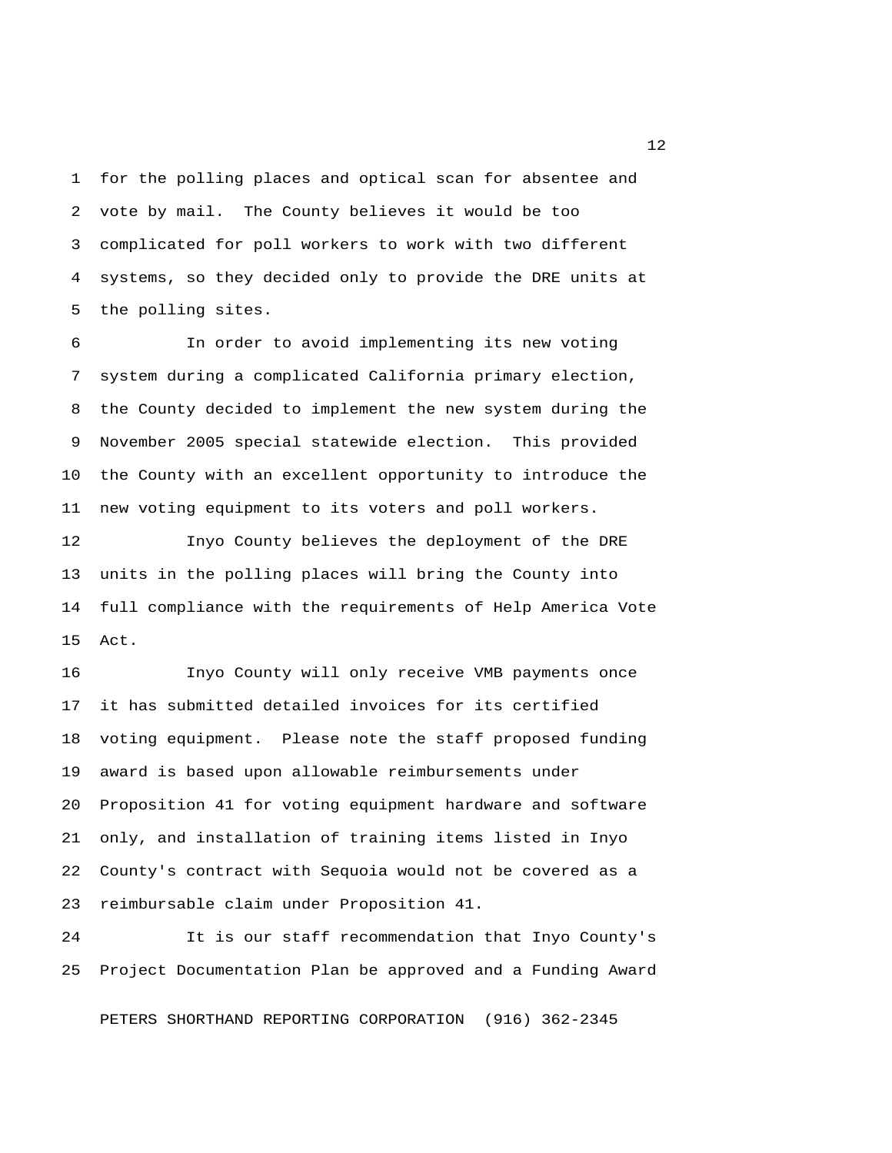1 for the polling places and optical scan for absentee and 2 vote by mail. The County believes it would be too 3 complicated for poll workers to work with two different 4 systems, so they decided only to provide the DRE units at 5 the polling sites.

 6 In order to avoid implementing its new voting 7 system during a complicated California primary election, 8 the County decided to implement the new system during the 9 November 2005 special statewide election. This provided 10 the County with an excellent opportunity to introduce the 11 new voting equipment to its voters and poll workers.

12 Inyo County believes the deployment of the DRE 13 units in the polling places will bring the County into 14 full compliance with the requirements of Help America Vote 15 Act.

16 Inyo County will only receive VMB payments once 17 it has submitted detailed invoices for its certified 18 voting equipment. Please note the staff proposed funding 19 award is based upon allowable reimbursements under 20 Proposition 41 for voting equipment hardware and software 21 only, and installation of training items listed in Inyo 22 County's contract with Sequoia would not be covered as a 23 reimbursable claim under Proposition 41.

24 It is our staff recommendation that Inyo County's 25 Project Documentation Plan be approved and a Funding Award

PETERS SHORTHAND REPORTING CORPORATION (916) 362-2345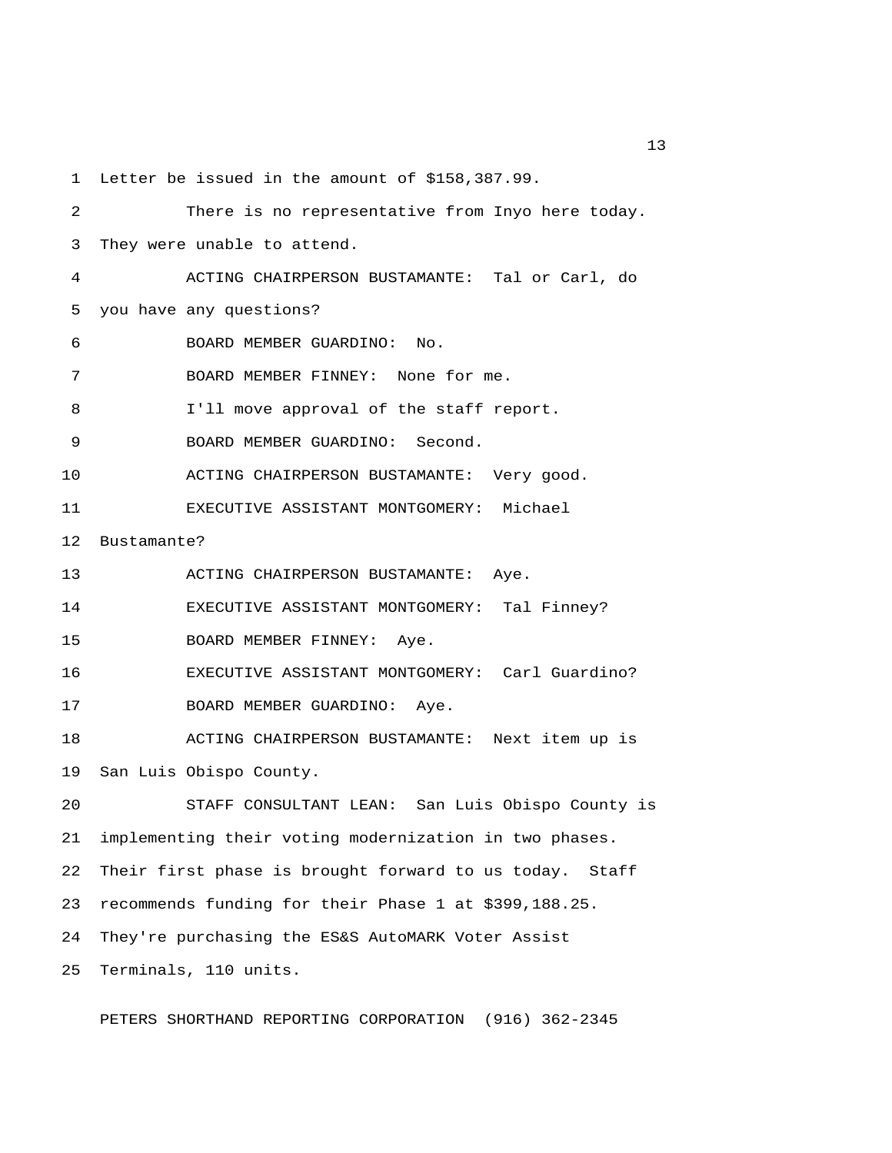1 Letter be issued in the amount of \$158,387.99.

| 2  | There is no representative from Inyo here today.        |
|----|---------------------------------------------------------|
| 3  | They were unable to attend.                             |
| 4  | ACTING CHAIRPERSON BUSTAMANTE: Tal or Carl, do          |
| 5  | you have any questions?                                 |
| 6  | BOARD MEMBER GUARDINO:<br>No.                           |
| 7  | BOARD MEMBER FINNEY: None for me.                       |
| 8  | I'll move approval of the staff report.                 |
| 9  | BOARD MEMBER GUARDINO: Second.                          |
| 10 | ACTING CHAIRPERSON BUSTAMANTE: Very good.               |
| 11 | EXECUTIVE ASSISTANT MONTGOMERY: Michael                 |
| 12 | Bustamante?                                             |
| 13 | ACTING CHAIRPERSON BUSTAMANTE: Aye.                     |
| 14 | EXECUTIVE ASSISTANT MONTGOMERY: Tal Finney?             |
| 15 | BOARD MEMBER FINNEY: Aye.                               |
| 16 | EXECUTIVE ASSISTANT MONTGOMERY: Carl Guardino?          |
| 17 | BOARD MEMBER GUARDINO: Aye.                             |
| 18 | ACTING CHAIRPERSON BUSTAMANTE: Next item up is          |
| 19 | San Luis Obispo County.                                 |
| 20 | STAFF CONSULTANT LEAN: San Luis Obispo County is        |
| 21 | implementing their voting modernization in two phases.  |
| 22 | Their first phase is brought forward to us today. Staff |
| 23 | recommends funding for their Phase 1 at \$399,188.25.   |
| 24 | They're purchasing the ES&S AutoMARK Voter Assist       |
| 25 | Terminals, 110 units.                                   |

PETERS SHORTHAND REPORTING CORPORATION (916) 362-2345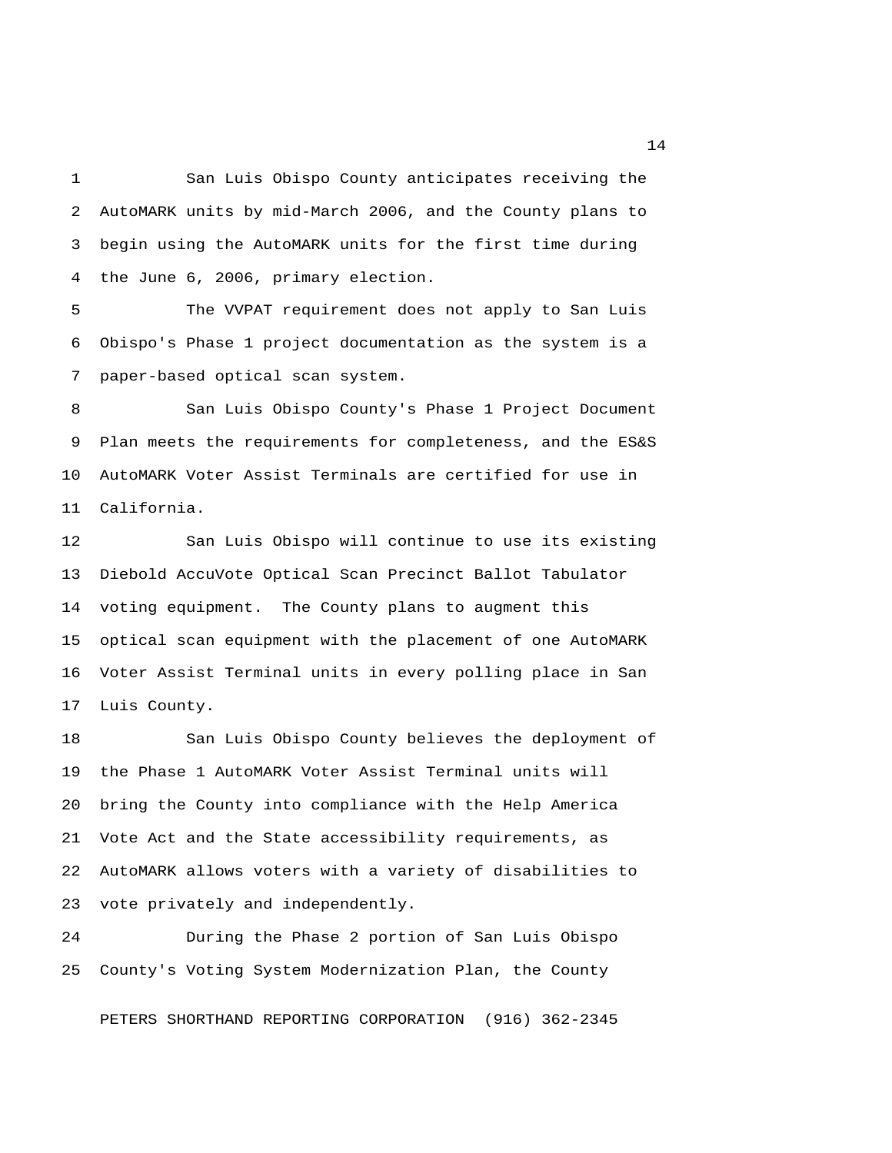1 San Luis Obispo County anticipates receiving the 2 AutoMARK units by mid-March 2006, and the County plans to 3 begin using the AutoMARK units for the first time during 4 the June 6, 2006, primary election.

 5 The VVPAT requirement does not apply to San Luis 6 Obispo's Phase 1 project documentation as the system is a 7 paper-based optical scan system.

 8 San Luis Obispo County's Phase 1 Project Document 9 Plan meets the requirements for completeness, and the ES&S 10 AutoMARK Voter Assist Terminals are certified for use in 11 California.

12 San Luis Obispo will continue to use its existing 13 Diebold AccuVote Optical Scan Precinct Ballot Tabulator 14 voting equipment. The County plans to augment this 15 optical scan equipment with the placement of one AutoMARK 16 Voter Assist Terminal units in every polling place in San 17 Luis County.

18 San Luis Obispo County believes the deployment of 19 the Phase 1 AutoMARK Voter Assist Terminal units will 20 bring the County into compliance with the Help America 21 Vote Act and the State accessibility requirements, as 22 AutoMARK allows voters with a variety of disabilities to 23 vote privately and independently.

24 During the Phase 2 portion of San Luis Obispo 25 County's Voting System Modernization Plan, the County

PETERS SHORTHAND REPORTING CORPORATION (916) 362-2345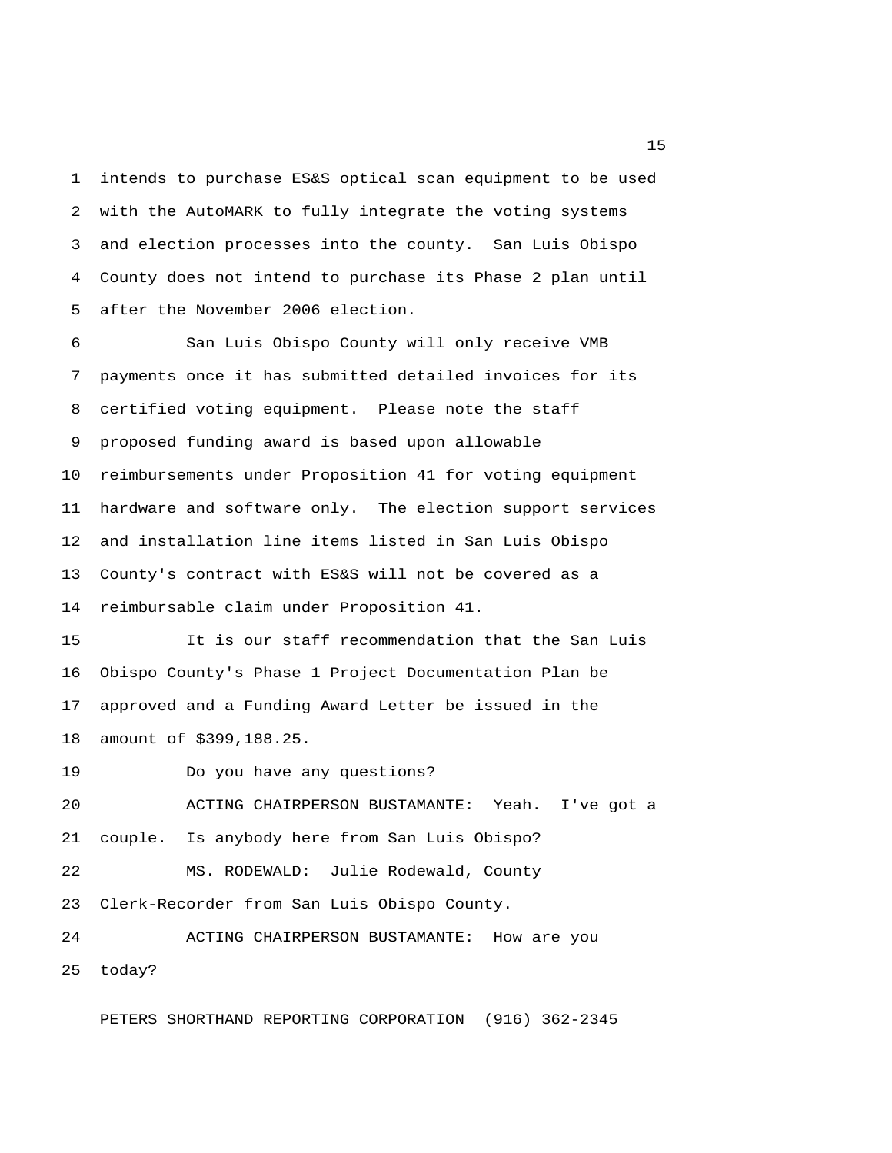1 intends to purchase ES&S optical scan equipment to be used 2 with the AutoMARK to fully integrate the voting systems 3 and election processes into the county. San Luis Obispo 4 County does not intend to purchase its Phase 2 plan until 5 after the November 2006 election.

 6 San Luis Obispo County will only receive VMB 7 payments once it has submitted detailed invoices for its 8 certified voting equipment. Please note the staff 9 proposed funding award is based upon allowable 10 reimbursements under Proposition 41 for voting equipment 11 hardware and software only. The election support services 12 and installation line items listed in San Luis Obispo 13 County's contract with ES&S will not be covered as a 14 reimbursable claim under Proposition 41.

15 It is our staff recommendation that the San Luis 16 Obispo County's Phase 1 Project Documentation Plan be 17 approved and a Funding Award Letter be issued in the 18 amount of \$399,188.25.

19 Do you have any questions?

20 ACTING CHAIRPERSON BUSTAMANTE: Yeah. I've got a 21 couple. Is anybody here from San Luis Obispo?

22 MS. RODEWALD: Julie Rodewald, County 23 Clerk-Recorder from San Luis Obispo County.

24 ACTING CHAIRPERSON BUSTAMANTE: How are you 25 today?

PETERS SHORTHAND REPORTING CORPORATION (916) 362-2345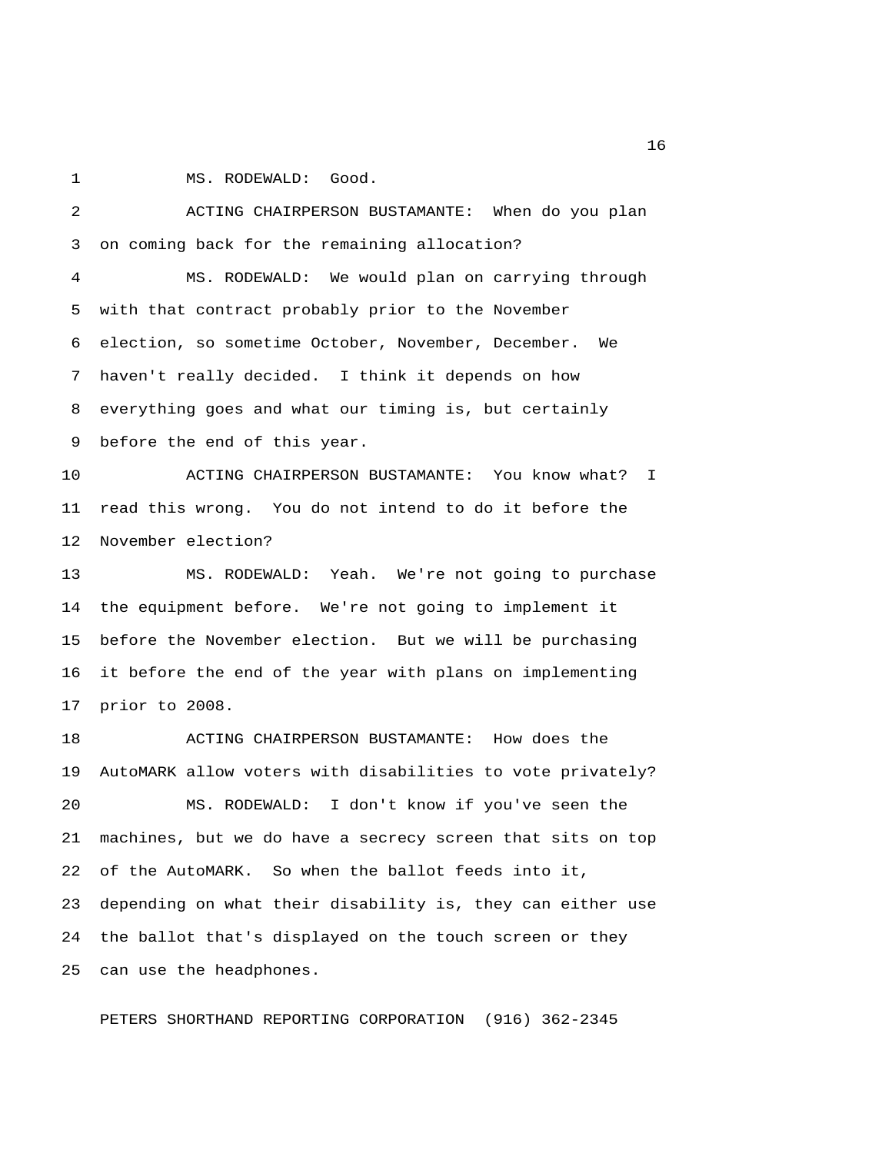1 MS. RODEWALD: Good.

 2 ACTING CHAIRPERSON BUSTAMANTE: When do you plan 3 on coming back for the remaining allocation? 4 MS. RODEWALD: We would plan on carrying through 5 with that contract probably prior to the November 6 election, so sometime October, November, December. We 7 haven't really decided. I think it depends on how 8 everything goes and what our timing is, but certainly 9 before the end of this year. 10 ACTING CHAIRPERSON BUSTAMANTE: You know what? I 11 read this wrong. You do not intend to do it before the 12 November election? 13 MS. RODEWALD: Yeah. We're not going to purchase 14 the equipment before. We're not going to implement it 15 before the November election. But we will be purchasing 16 it before the end of the year with plans on implementing 17 prior to 2008. 18 ACTING CHAIRPERSON BUSTAMANTE: How does the 19 AutoMARK allow voters with disabilities to vote privately? 20 MS. RODEWALD: I don't know if you've seen the 21 machines, but we do have a secrecy screen that sits on top

23 depending on what their disability is, they can either use 24 the ballot that's displayed on the touch screen or they 25 can use the headphones.

22 of the AutoMARK. So when the ballot feeds into it,

PETERS SHORTHAND REPORTING CORPORATION (916) 362-2345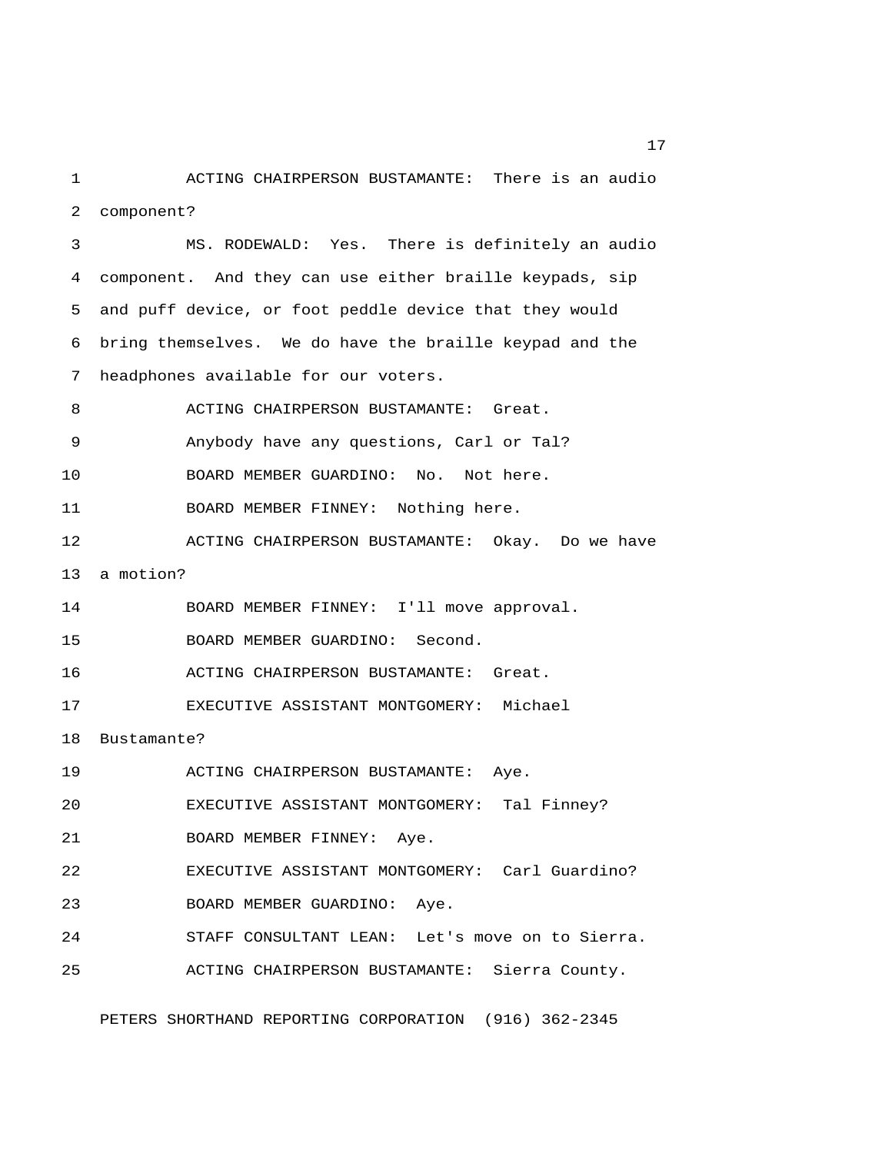1 ACTING CHAIRPERSON BUSTAMANTE: There is an audio 2 component?

 3 MS. RODEWALD: Yes. There is definitely an audio 4 component. And they can use either braille keypads, sip 5 and puff device, or foot peddle device that they would 6 bring themselves. We do have the braille keypad and the 7 headphones available for our voters.

 8 ACTING CHAIRPERSON BUSTAMANTE: Great. 9 Anybody have any questions, Carl or Tal? 10 BOARD MEMBER GUARDINO: No. Not here. 11 BOARD MEMBER FINNEY: Nothing here. 12 ACTING CHAIRPERSON BUSTAMANTE: Okay. Do we have 13 a motion? 14 BOARD MEMBER FINNEY: I'll move approval.

15 BOARD MEMBER GUARDINO: Second.

16 ACTING CHAIRPERSON BUSTAMANTE: Great.

17 EXECUTIVE ASSISTANT MONTGOMERY: Michael

18 Bustamante?

19 ACTING CHAIRPERSON BUSTAMANTE: Aye.

20 EXECUTIVE ASSISTANT MONTGOMERY: Tal Finney?

21 BOARD MEMBER FINNEY: Aye.

22 EXECUTIVE ASSISTANT MONTGOMERY: Carl Guardino?

23 BOARD MEMBER GUARDINO: Aye.

24 STAFF CONSULTANT LEAN: Let's move on to Sierra.

25 ACTING CHAIRPERSON BUSTAMANTE: Sierra County.

PETERS SHORTHAND REPORTING CORPORATION (916) 362-2345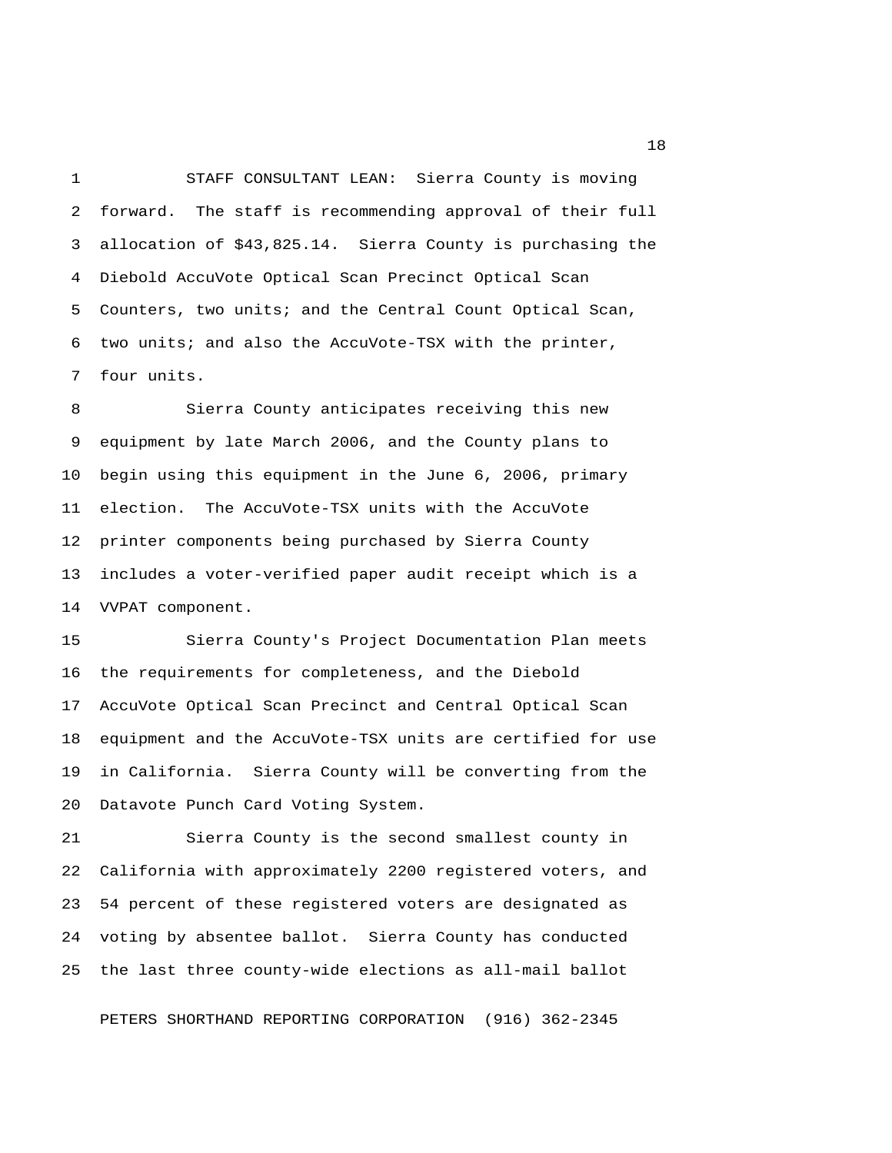1 STAFF CONSULTANT LEAN: Sierra County is moving 2 forward. The staff is recommending approval of their full 3 allocation of \$43,825.14. Sierra County is purchasing the 4 Diebold AccuVote Optical Scan Precinct Optical Scan 5 Counters, two units; and the Central Count Optical Scan, 6 two units; and also the AccuVote-TSX with the printer, 7 four units.

 8 Sierra County anticipates receiving this new 9 equipment by late March 2006, and the County plans to 10 begin using this equipment in the June 6, 2006, primary 11 election. The AccuVote-TSX units with the AccuVote 12 printer components being purchased by Sierra County 13 includes a voter-verified paper audit receipt which is a 14 VVPAT component.

15 Sierra County's Project Documentation Plan meets 16 the requirements for completeness, and the Diebold 17 AccuVote Optical Scan Precinct and Central Optical Scan 18 equipment and the AccuVote-TSX units are certified for use 19 in California. Sierra County will be converting from the 20 Datavote Punch Card Voting System.

21 Sierra County is the second smallest county in 22 California with approximately 2200 registered voters, and 23 54 percent of these registered voters are designated as 24 voting by absentee ballot. Sierra County has conducted 25 the last three county-wide elections as all-mail ballot

PETERS SHORTHAND REPORTING CORPORATION (916) 362-2345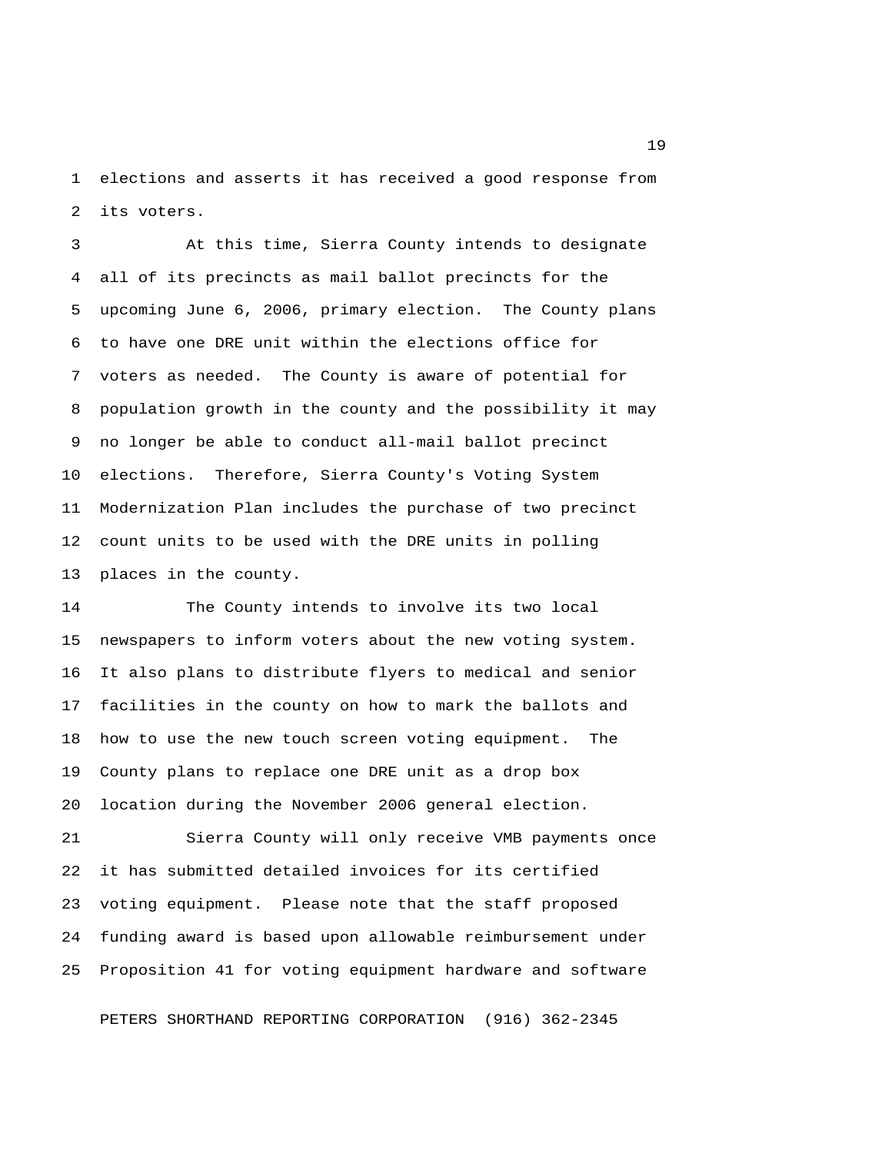1 elections and asserts it has received a good response from 2 its voters.

 3 At this time, Sierra County intends to designate 4 all of its precincts as mail ballot precincts for the 5 upcoming June 6, 2006, primary election. The County plans 6 to have one DRE unit within the elections office for 7 voters as needed. The County is aware of potential for 8 population growth in the county and the possibility it may 9 no longer be able to conduct all-mail ballot precinct 10 elections. Therefore, Sierra County's Voting System 11 Modernization Plan includes the purchase of two precinct 12 count units to be used with the DRE units in polling 13 places in the county.

14 The County intends to involve its two local 15 newspapers to inform voters about the new voting system. 16 It also plans to distribute flyers to medical and senior 17 facilities in the county on how to mark the ballots and 18 how to use the new touch screen voting equipment. The 19 County plans to replace one DRE unit as a drop box 20 location during the November 2006 general election.

21 Sierra County will only receive VMB payments once 22 it has submitted detailed invoices for its certified 23 voting equipment. Please note that the staff proposed 24 funding award is based upon allowable reimbursement under 25 Proposition 41 for voting equipment hardware and software

PETERS SHORTHAND REPORTING CORPORATION (916) 362-2345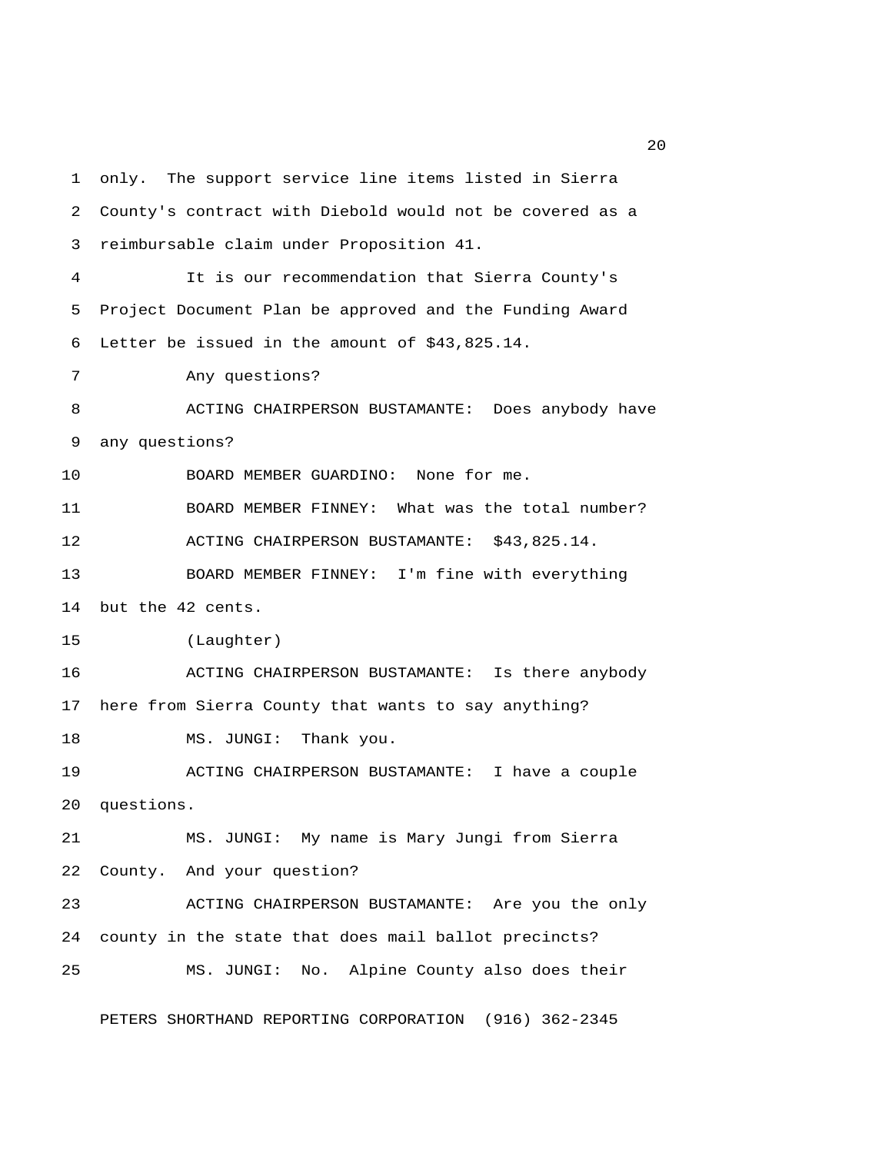1 only. The support service line items listed in Sierra 2 County's contract with Diebold would not be covered as a 3 reimbursable claim under Proposition 41. 4 It is our recommendation that Sierra County's 5 Project Document Plan be approved and the Funding Award 6 Letter be issued in the amount of \$43,825.14. 7 Any questions? 8 ACTING CHAIRPERSON BUSTAMANTE: Does anybody have 9 any questions? 10 BOARD MEMBER GUARDINO: None for me. 11 BOARD MEMBER FINNEY: What was the total number? 12 ACTING CHAIRPERSON BUSTAMANTE: \$43,825.14. 13 BOARD MEMBER FINNEY: I'm fine with everything 14 but the 42 cents. 15 (Laughter) 16 ACTING CHAIRPERSON BUSTAMANTE: Is there anybody 17 here from Sierra County that wants to say anything? 18 MS. JUNGI: Thank you. 19 ACTING CHAIRPERSON BUSTAMANTE: I have a couple 20 questions. 21 MS. JUNGI: My name is Mary Jungi from Sierra 22 County. And your question? 23 ACTING CHAIRPERSON BUSTAMANTE: Are you the only 24 county in the state that does mail ballot precincts? 25 MS. JUNGI: No. Alpine County also does their

PETERS SHORTHAND REPORTING CORPORATION (916) 362-2345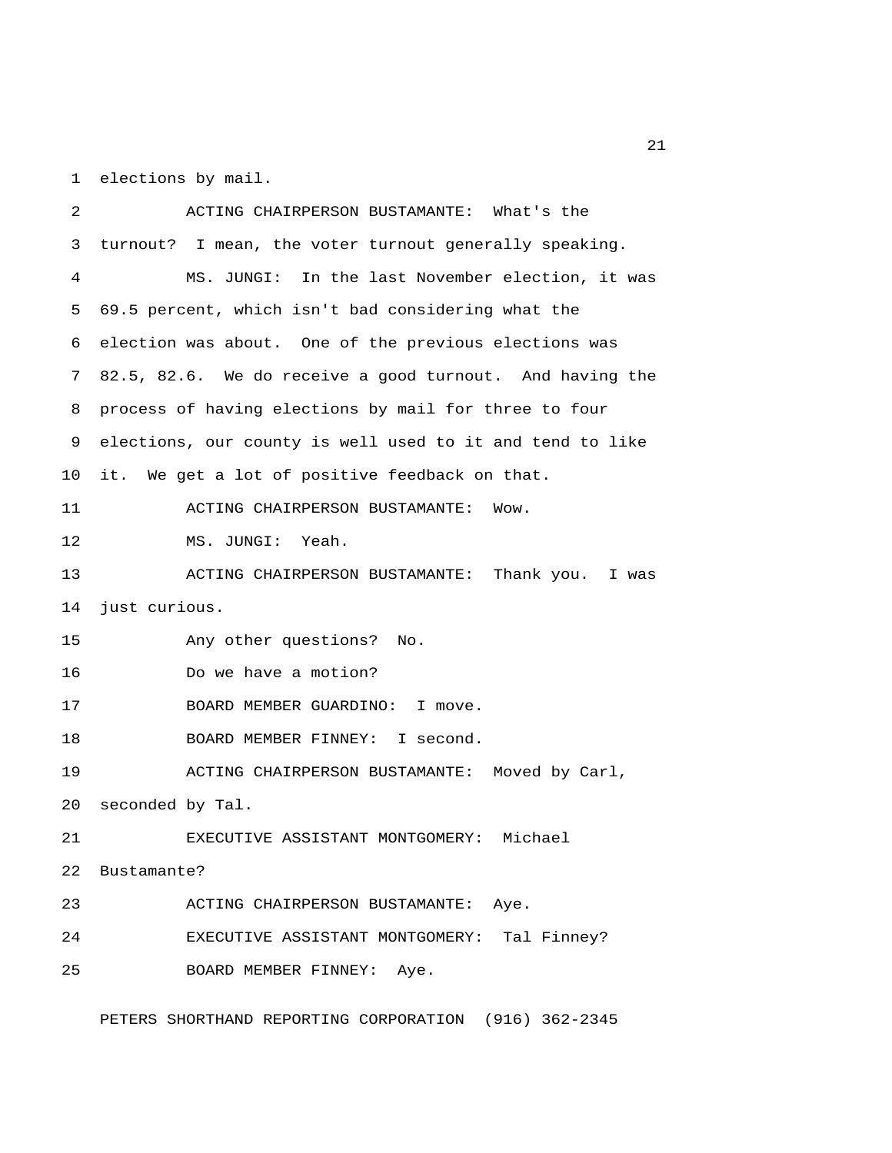1 elections by mail.

 2 ACTING CHAIRPERSON BUSTAMANTE: What's the 3 turnout? I mean, the voter turnout generally speaking. 4 MS. JUNGI: In the last November election, it was 5 69.5 percent, which isn't bad considering what the 6 election was about. One of the previous elections was 7 82.5, 82.6. We do receive a good turnout. And having the 8 process of having elections by mail for three to four 9 elections, our county is well used to it and tend to like 10 it. We get a lot of positive feedback on that. 11 ACTING CHAIRPERSON BUSTAMANTE: Wow. 12 MS. JUNGI: Yeah. 13 ACTING CHAIRPERSON BUSTAMANTE: Thank you. I was 14 just curious. 15 Any other questions? No. 16 Do we have a motion? 17 BOARD MEMBER GUARDINO: I move. 18 BOARD MEMBER FINNEY: I second. 19 ACTING CHAIRPERSON BUSTAMANTE: Moved by Carl, 20 seconded by Tal. 21 EXECUTIVE ASSISTANT MONTGOMERY: Michael 22 Bustamante? 23 ACTING CHAIRPERSON BUSTAMANTE: Aye. 24 EXECUTIVE ASSISTANT MONTGOMERY: Tal Finney? 25 BOARD MEMBER FINNEY: Aye.

PETERS SHORTHAND REPORTING CORPORATION (916) 362-2345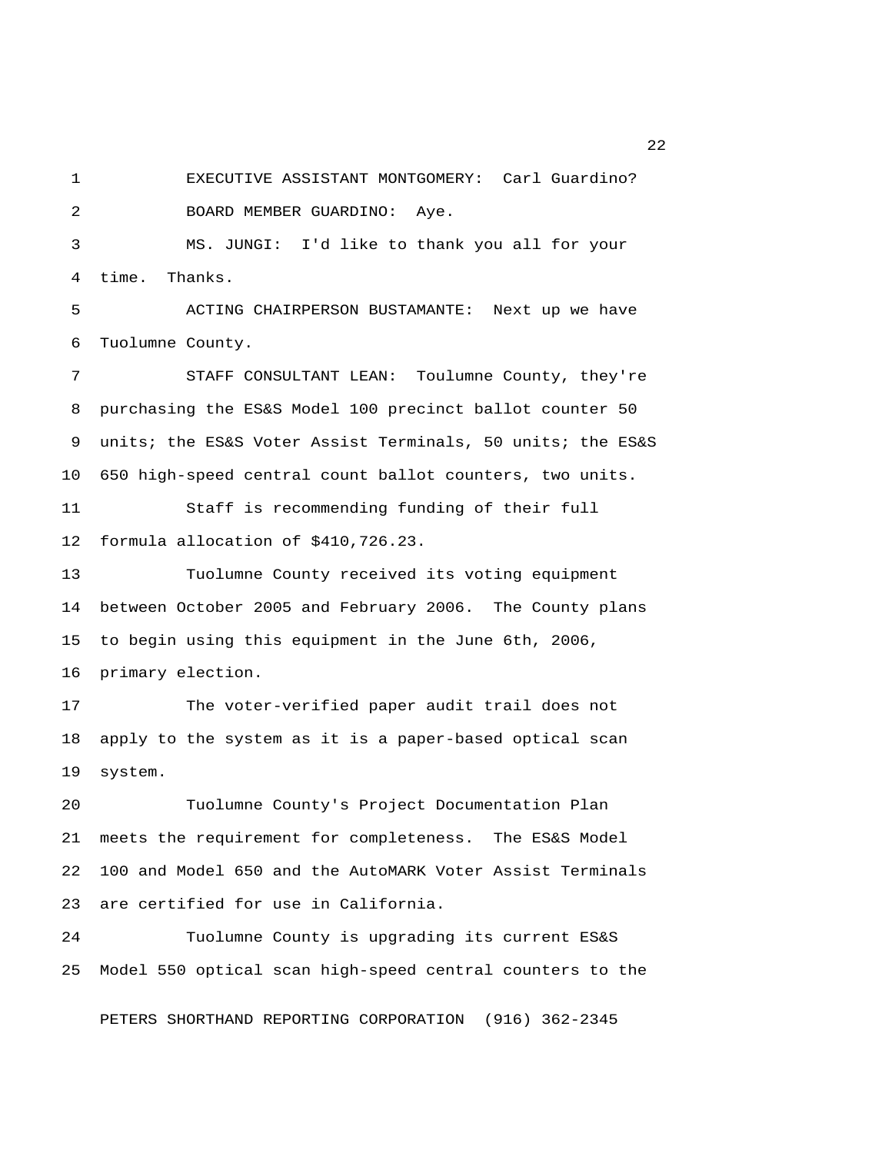1 EXECUTIVE ASSISTANT MONTGOMERY: Carl Guardino? 2 BOARD MEMBER GUARDINO: Aye.

 3 MS. JUNGI: I'd like to thank you all for your 4 time. Thanks.

 5 ACTING CHAIRPERSON BUSTAMANTE: Next up we have 6 Tuolumne County.

 7 STAFF CONSULTANT LEAN: Toulumne County, they're 8 purchasing the ES&S Model 100 precinct ballot counter 50 9 units; the ES&S Voter Assist Terminals, 50 units; the ES&S 10 650 high-speed central count ballot counters, two units.

11 Staff is recommending funding of their full 12 formula allocation of \$410,726.23.

13 Tuolumne County received its voting equipment 14 between October 2005 and February 2006. The County plans 15 to begin using this equipment in the June 6th, 2006, 16 primary election.

17 The voter-verified paper audit trail does not 18 apply to the system as it is a paper-based optical scan 19 system.

20 Tuolumne County's Project Documentation Plan 21 meets the requirement for completeness. The ES&S Model 22 100 and Model 650 and the AutoMARK Voter Assist Terminals 23 are certified for use in California.

24 Tuolumne County is upgrading its current ES&S 25 Model 550 optical scan high-speed central counters to the

PETERS SHORTHAND REPORTING CORPORATION (916) 362-2345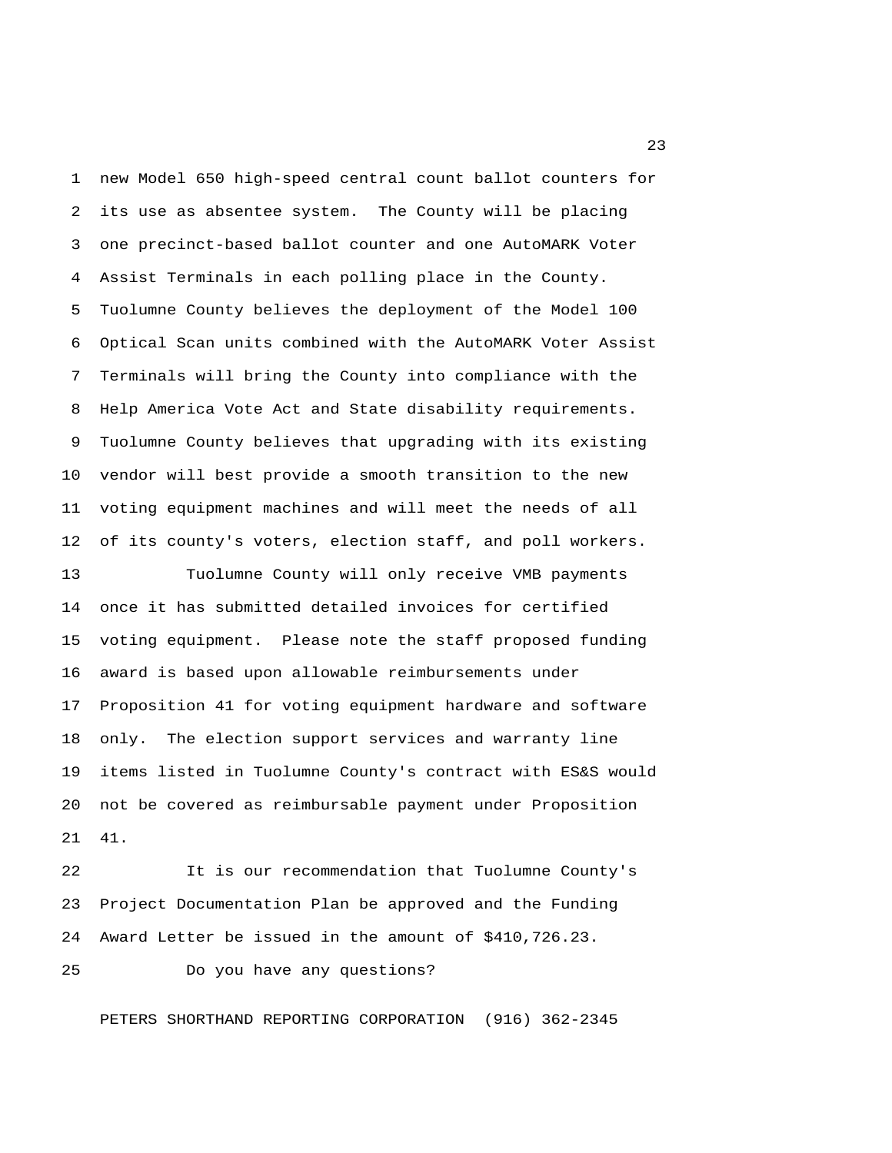1 new Model 650 high-speed central count ballot counters for 2 its use as absentee system. The County will be placing 3 one precinct-based ballot counter and one AutoMARK Voter 4 Assist Terminals in each polling place in the County. 5 Tuolumne County believes the deployment of the Model 100 6 Optical Scan units combined with the AutoMARK Voter Assist 7 Terminals will bring the County into compliance with the 8 Help America Vote Act and State disability requirements. 9 Tuolumne County believes that upgrading with its existing 10 vendor will best provide a smooth transition to the new 11 voting equipment machines and will meet the needs of all 12 of its county's voters, election staff, and poll workers.

13 Tuolumne County will only receive VMB payments 14 once it has submitted detailed invoices for certified 15 voting equipment. Please note the staff proposed funding 16 award is based upon allowable reimbursements under 17 Proposition 41 for voting equipment hardware and software 18 only. The election support services and warranty line 19 items listed in Tuolumne County's contract with ES&S would 20 not be covered as reimbursable payment under Proposition 21 41.

22 It is our recommendation that Tuolumne County's 23 Project Documentation Plan be approved and the Funding 24 Award Letter be issued in the amount of \$410,726.23.

25 Do you have any questions?

PETERS SHORTHAND REPORTING CORPORATION (916) 362-2345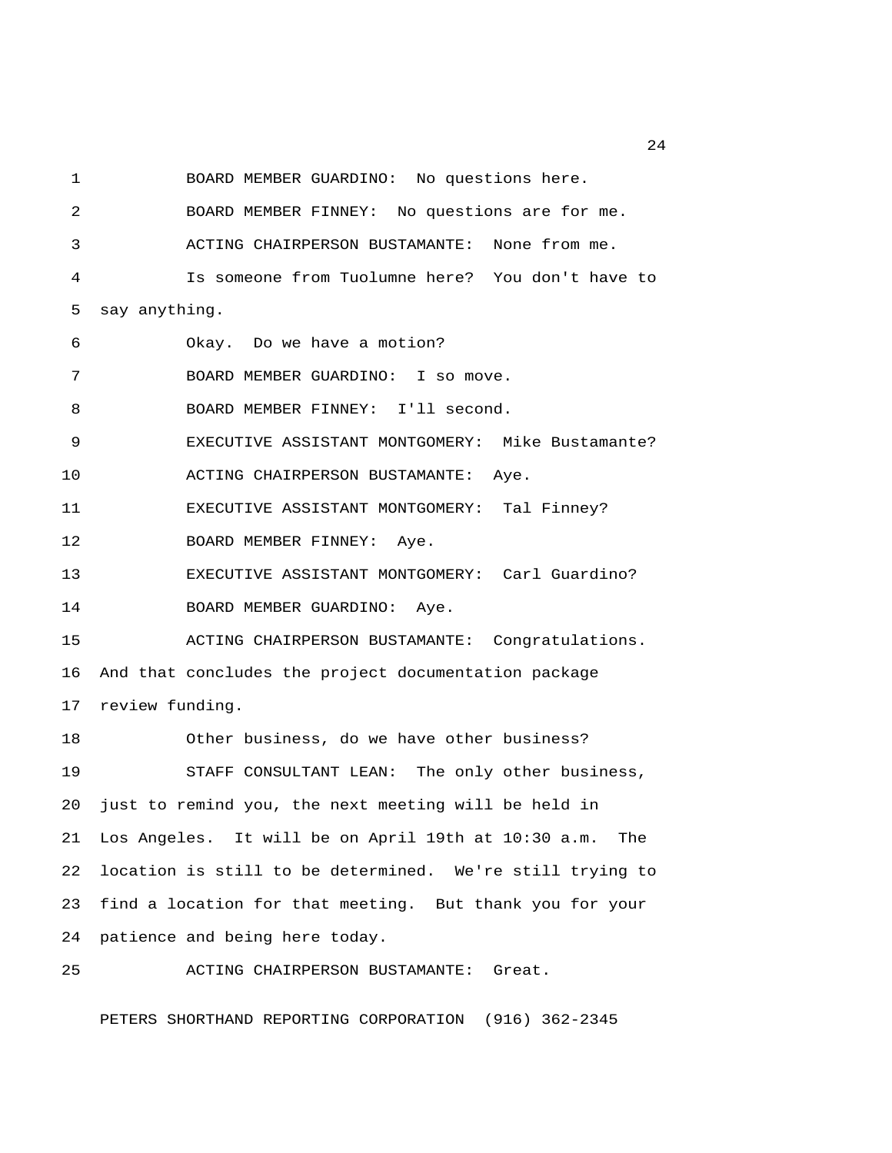1 BOARD MEMBER GUARDINO: No questions here. 2 BOARD MEMBER FINNEY: No questions are for me.

3 ACTING CHAIRPERSON BUSTAMANTE: None from me.

 4 Is someone from Tuolumne here? You don't have to 5 say anything.

 6 Okay. Do we have a motion? 7 BOARD MEMBER GUARDINO: I so move. 8 BOARD MEMBER FINNEY: I'll second. 9 EXECUTIVE ASSISTANT MONTGOMERY: Mike Bustamante? 10 ACTING CHAIRPERSON BUSTAMANTE: Aye. 11 EXECUTIVE ASSISTANT MONTGOMERY: Tal Finney? 12 BOARD MEMBER FINNEY: Aye. 13 EXECUTIVE ASSISTANT MONTGOMERY: Carl Guardino? 14 BOARD MEMBER GUARDINO: Aye. 15 ACTING CHAIRPERSON BUSTAMANTE: Congratulations. 16 And that concludes the project documentation package 17 review funding. 18 Other business, do we have other business?

19 STAFF CONSULTANT LEAN: The only other business, 20 just to remind you, the next meeting will be held in 21 Los Angeles. It will be on April 19th at 10:30 a.m. The 22 location is still to be determined. We're still trying to 23 find a location for that meeting. But thank you for your 24 patience and being here today.

25 ACTING CHAIRPERSON BUSTAMANTE: Great.

PETERS SHORTHAND REPORTING CORPORATION (916) 362-2345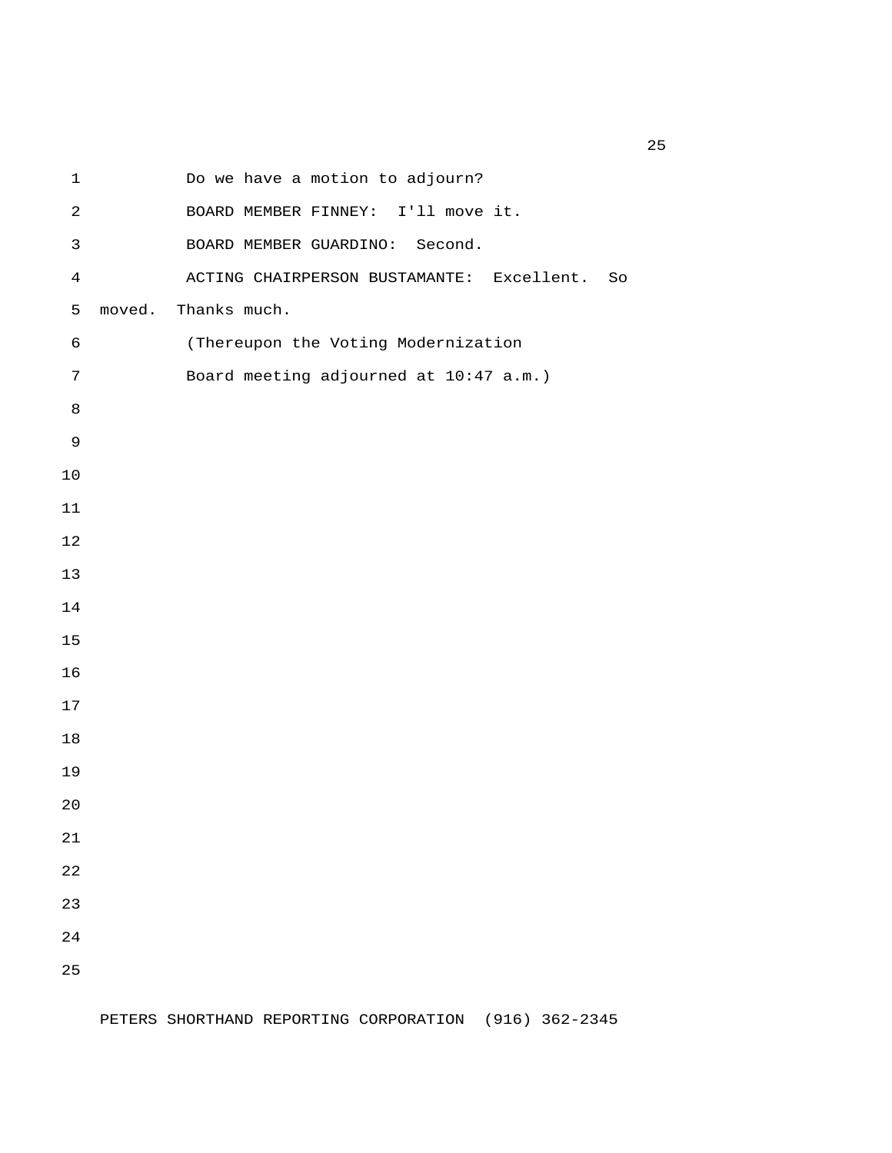1 Do we have a motion to adjourn? 2 BOARD MEMBER FINNEY: I'll move it. 3 BOARD MEMBER GUARDINO: Second. 4 ACTING CHAIRPERSON BUSTAMANTE: Excellent. So 5 moved. Thanks much. 6 (Thereupon the Voting Modernization 7 Board meeting adjourned at 10:47 a.m.)